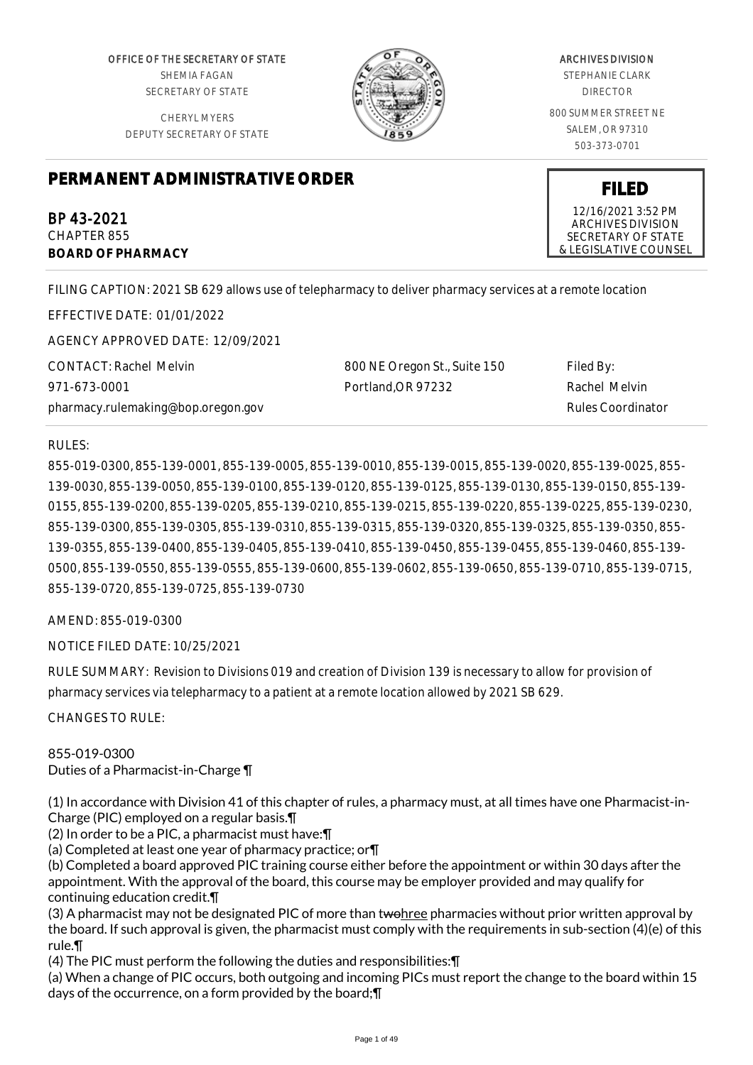OFFICE OF THE SECRETARY OF STATE SHEMIA FAGAN SECRETARY OF STATE

CHERYL MYERS DEPUTY SECRETARY OF STATE



# ARCHIVES DIVISION

STEPHANIE CLARK DIRECTOR

800 SUMMER STREET NE SALEM, OR 97310 503-373-0701

# **PERMANENT ADMINISTRATIVE ORDER**

BP 43-2021 CHAPTER 855 **BOARD OF PHARMACY**

FILING CAPTION: 2021 SB 629 allows use of telepharmacy to deliver pharmacy services at a remote location

EFFECTIVE DATE: 01/01/2022

AGENCY APPROVED DATE: 12/09/2021

CONTACT: Rachel Melvin 971-673-0001 pharmacy.rulemaking@bop.oregon.gov

800 NE Oregon St., Suite 150 Portland,OR 97232

Filed By: Rachel Melvin Rules Coordinator

# RULES:

855-019-0300, 855-139-0001, 855-139-0005, 855-139-0010, 855-139-0015, 855-139-0020, 855-139-0025, 855- 139-0030, 855-139-0050, 855-139-0100, 855-139-0120, 855-139-0125, 855-139-0130, 855-139-0150, 855-139- 0155, 855-139-0200, 855-139-0205, 855-139-0210, 855-139-0215, 855-139-0220, 855-139-0225, 855-139-0230, 855-139-0300, 855-139-0305, 855-139-0310, 855-139-0315, 855-139-0320, 855-139-0325, 855-139-0350, 855- 139-0355, 855-139-0400, 855-139-0405, 855-139-0410, 855-139-0450, 855-139-0455, 855-139-0460, 855-139- 0500, 855-139-0550, 855-139-0555, 855-139-0600, 855-139-0602, 855-139-0650, 855-139-0710, 855-139-0715, 855-139-0720, 855-139-0725, 855-139-0730

AMEND: 855-019-0300

NOTICE FILED DATE: 10/25/2021

RULE SUMMARY: Revision to Divisions 019 and creation of Division 139 is necessary to allow for provision of pharmacy services via telepharmacy to a patient at a remote location allowed by 2021 SB 629.

CHANGES TO RULE:

# 855-019-0300

Duties of a Pharmacist-in-Charge ¶

(1) In accordance with Division 41 of this chapter of rules, a pharmacy must, at all times have one Pharmacist-in-Charge (PIC) employed on a regular basis.¶

(2) In order to be a PIC, a pharmacist must have:¶

(a) Completed at least one year of pharmacy practice; or¶

(b) Completed a board approved PIC training course either before the appointment or within 30 days after the appointment. With the approval of the board, this course may be employer provided and may qualify for continuing education credit.¶

(3) A pharmacist may not be designated PIC of more than twohree pharmacies without prior written approval by the board. If such approval is given, the pharmacist must comply with the requirements in sub-section (4)(e) of this rule.¶

(4) The PIC must perform the following the duties and responsibilities:¶

(a) When a change of PIC occurs, both outgoing and incoming PICs must report the change to the board within 15 days of the occurrence, on a form provided by the board;¶

12/16/2021 3:52 PM ARCHIVES DIVISION SECRETARY OF STATE & LEGISLATIVE COUNSEL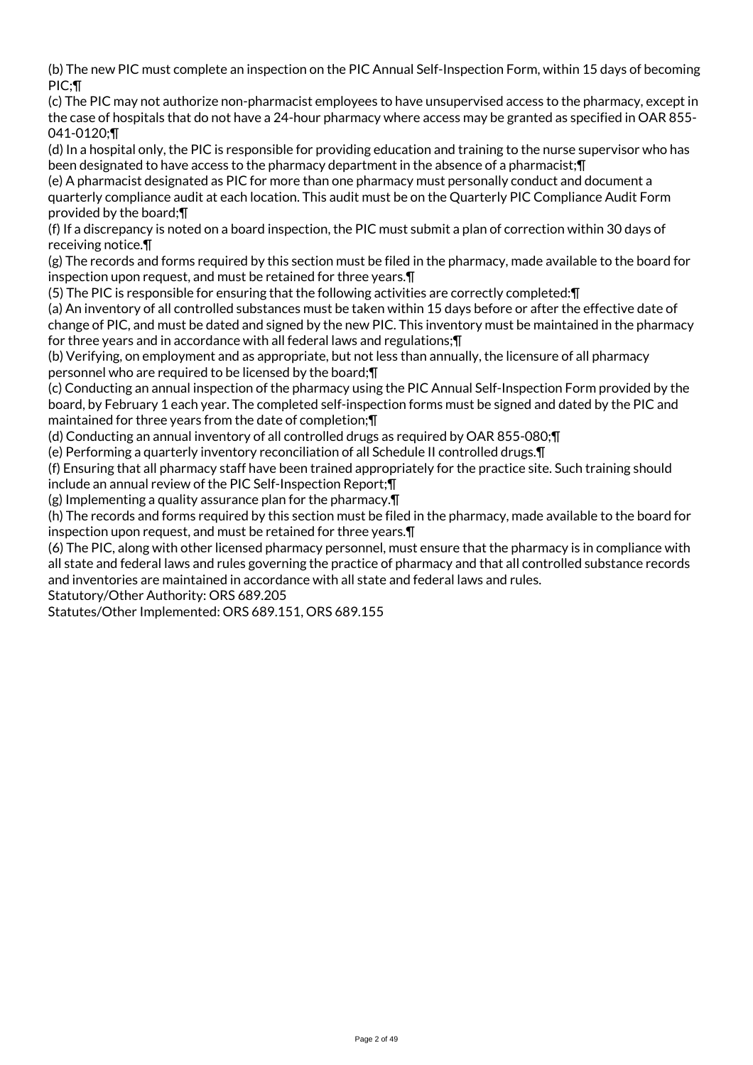(b) The new PIC must complete an inspection on the PIC Annual Self-Inspection Form, within 15 days of becoming PIC;¶

(c) The PIC may not authorize non-pharmacist employees to have unsupervised access to the pharmacy, except in the case of hospitals that do not have a 24-hour pharmacy where access may be granted as specified in OAR 855- 041-0120;¶

(d) In a hospital only, the PIC is responsible for providing education and training to the nurse supervisor who has been designated to have access to the pharmacy department in the absence of a pharmacist;¶

(e) A pharmacist designated as PIC for more than one pharmacy must personally conduct and document a quarterly compliance audit at each location. This audit must be on the Quarterly PIC Compliance Audit Form provided by the board;¶

(f) If a discrepancy is noted on a board inspection, the PIC must submit a plan of correction within 30 days of receiving notice.¶

(g) The records and forms required by this section must be filed in the pharmacy, made available to the board for inspection upon request, and must be retained for three years.¶

(5) The PIC is responsible for ensuring that the following activities are correctly completed:¶

(a) An inventory of all controlled substances must be taken within 15 days before or after the effective date of change of PIC, and must be dated and signed by the new PIC. This inventory must be maintained in the pharmacy for three years and in accordance with all federal laws and regulations;¶

(b) Verifying, on employment and as appropriate, but not less than annually, the licensure of all pharmacy personnel who are required to be licensed by the board;¶

(c) Conducting an annual inspection of the pharmacy using the PIC Annual Self-Inspection Form provided by the board, by February 1 each year. The completed self-inspection forms must be signed and dated by the PIC and maintained for three years from the date of completion;¶

(d) Conducting an annual inventory of all controlled drugs as required by OAR 855-080;¶

(e) Performing a quarterly inventory reconciliation of all Schedule II controlled drugs.¶

(f) Ensuring that all pharmacy staff have been trained appropriately for the practice site. Such training should include an annual review of the PIC Self-Inspection Report;¶

(g) Implementing a quality assurance plan for the pharmacy.¶

(h) The records and forms required by this section must be filed in the pharmacy, made available to the board for inspection upon request, and must be retained for three years.¶

(6) The PIC, along with other licensed pharmacy personnel, must ensure that the pharmacy is in compliance with all state and federal laws and rules governing the practice of pharmacy and that all controlled substance records and inventories are maintained in accordance with all state and federal laws and rules.

Statutory/Other Authority: ORS 689.205

Statutes/Other Implemented: ORS 689.151, ORS 689.155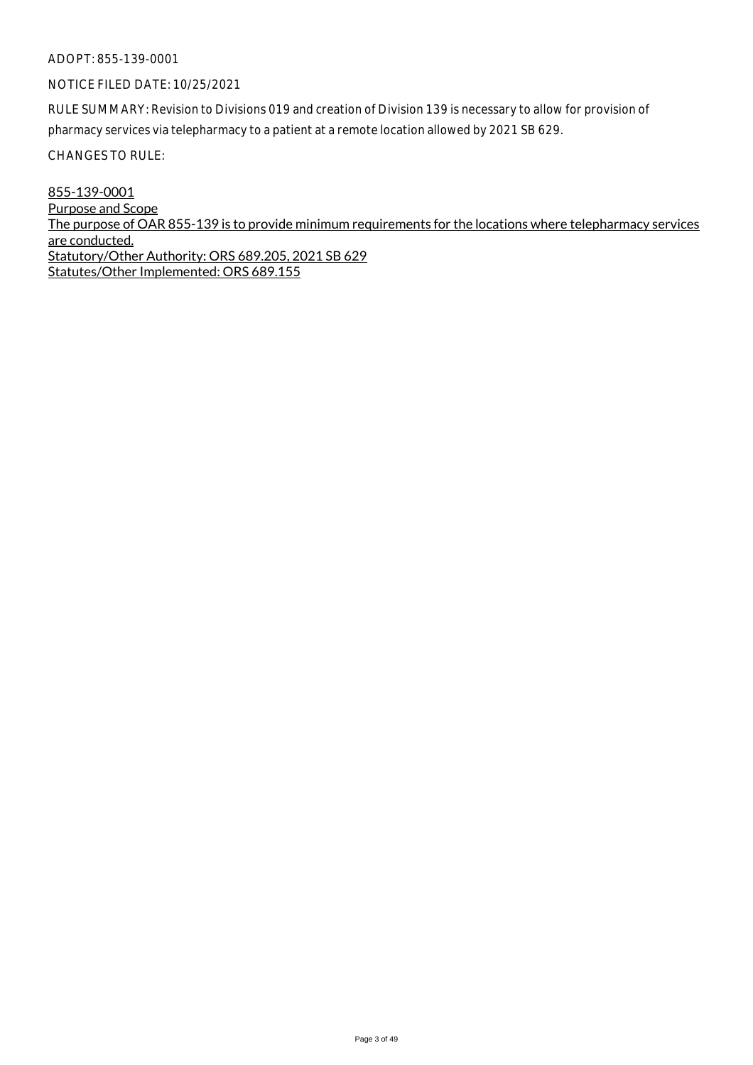# NOTICE FILED DATE: 10/25/2021

RULE SUMMARY: Revision to Divisions 019 and creation of Division 139 is necessary to allow for provision of pharmacy services via telepharmacy to a patient at a remote location allowed by 2021 SB 629.

CHANGES TO RULE:

855-139-0001 Purpose and Scope The purpose of OAR 855-139 is to provide minimum requirements for the locations where telepharmacy services are conducted. Statutory/Other Authority: ORS 689.205, 2021 SB 629 Statutes/Other Implemented: ORS 689.155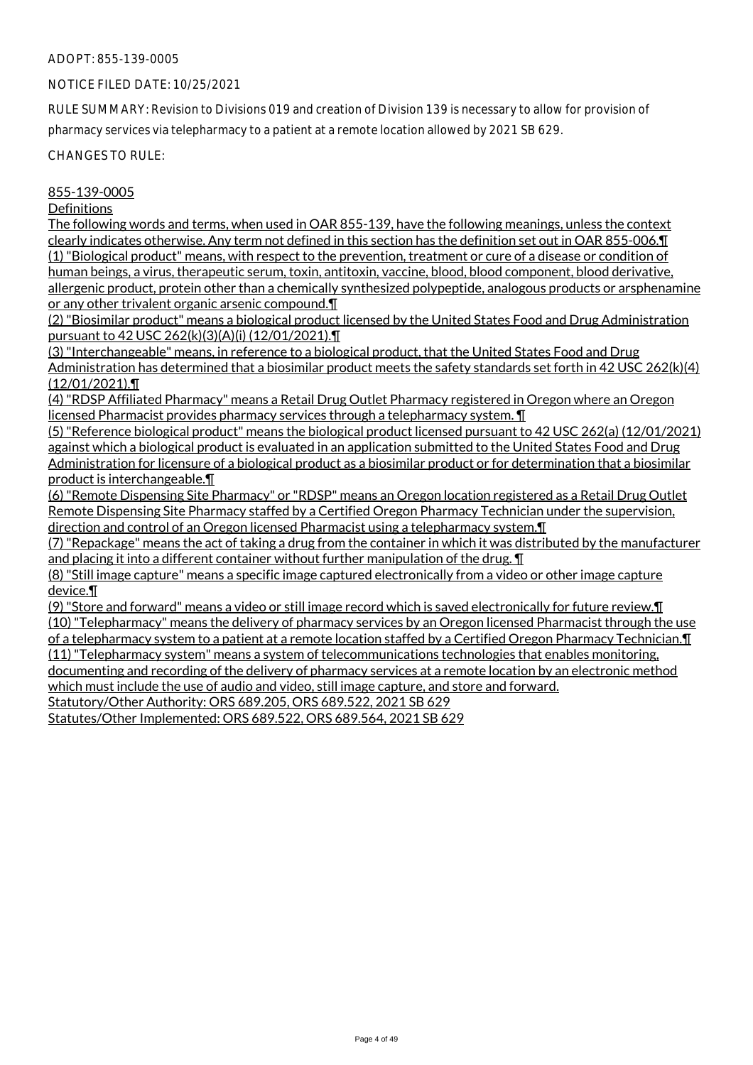#### NOTICE FILED DATE: 10/25/2021

RULE SUMMARY: Revision to Divisions 019 and creation of Division 139 is necessary to allow for provision of pharmacy services via telepharmacy to a patient at a remote location allowed by 2021 SB 629.

CHANGES TO RULE:

#### 855-139-0005

#### **Definitions**

The following words and terms, when used in OAR 855-139, have the following meanings, unless the context clearly indicates otherwise. Any term not defined in this section has the definition set out in OAR 855-006.¶ (1) "Biological product" means, with respect to the prevention, treatment or cure of a disease or condition of human beings, a virus, therapeutic serum, toxin, antitoxin, vaccine, blood, blood component, blood derivative, allergenic product, protein other than a chemically synthesized polypeptide, analogous products or arsphenamine or any other trivalent organic arsenic compound.¶

(2) "Biosimilar product" means a biological product licensed by the United States Food and Drug Administration pursuant to 42 USC 262(k)(3)(A)(i) (12/01/2021).¶

(3) "Interchangeable" means, in reference to a biological product, that the United States Food and Drug Administration has determined that a biosimilar product meets the safety standards set forth in 42 USC 262(k)(4) (12/01/2021).¶

(4) "RDSP Affiliated Pharmacy" means a Retail Drug Outlet Pharmacy registered in Oregon where an Oregon licensed Pharmacist provides pharmacy services through a telepharmacy system. ¶

(5) "Reference biological product" means the biological product licensed pursuant to 42 USC 262(a) (12/01/2021) against which a biological product is evaluated in an application submitted to the United States Food and Drug Administration for licensure of a biological product as a biosimilar product or for determination that a biosimilar product is interchangeable.¶

(6) "Remote Dispensing Site Pharmacy" or "RDSP" means an Oregon location registered as a Retail Drug Outlet Remote Dispensing Site Pharmacy staffed by a Certified Oregon Pharmacy Technician under the supervision, direction and control of an Oregon licensed Pharmacist using a telepharmacy system.¶

(7) "Repackage" means the act of taking a drug from the container in which it was distributed by the manufacturer and placing it into a different container without further manipulation of the drug. ¶

(8) "Still image capture" means a specific image captured electronically from a video or other image capture device.¶

(9) "Store and forward" means a video or still image record which is saved electronically for future review.¶ (10) "Telepharmacy" means the delivery of pharmacy services by an Oregon licensed Pharmacist through the use of a telepharmacy system to a patient at a remote location staffed by a Certified Oregon Pharmacy Technician.¶ (11) "Telepharmacy system" means a system of telecommunications technologies that enables monitoring, documenting and recording of the delivery of pharmacy services at a remote location by an electronic method which must include the use of audio and video, still image capture, and store and forward. Statutory/Other Authority: ORS 689.205, ORS 689.522, 2021 SB 629

Statutes/Other Implemented: ORS 689.522, ORS 689.564, 2021 SB 629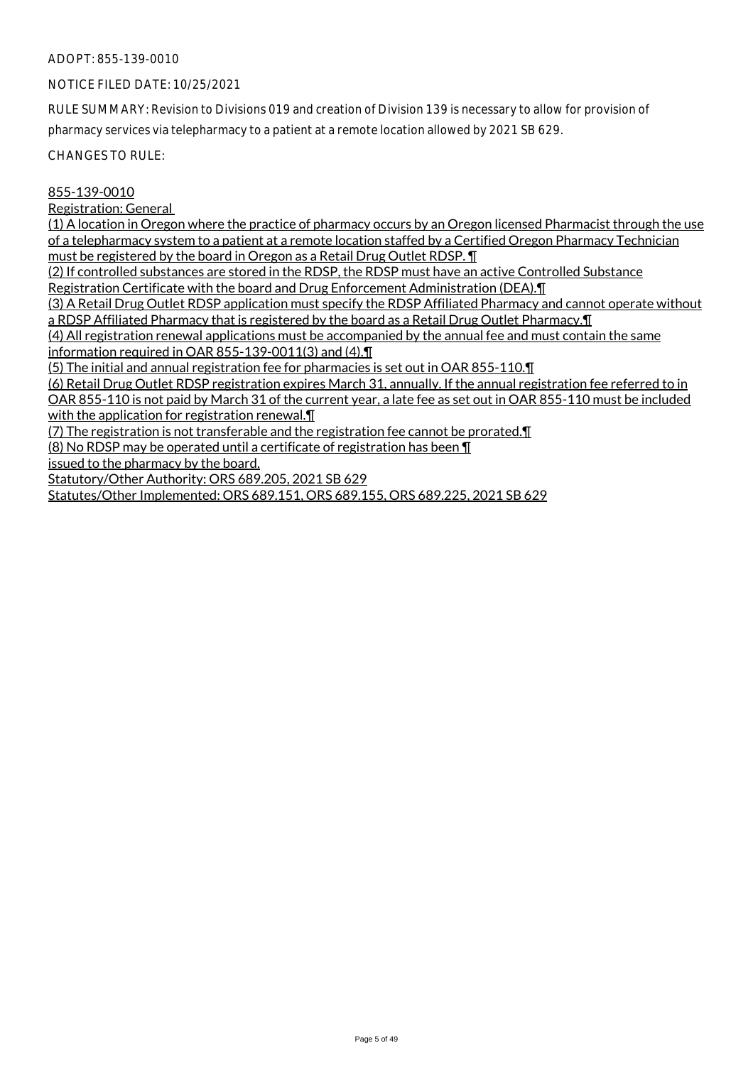# NOTICE FILED DATE: 10/25/2021

RULE SUMMARY: Revision to Divisions 019 and creation of Division 139 is necessary to allow for provision of pharmacy services via telepharmacy to a patient at a remote location allowed by 2021 SB 629.

CHANGES TO RULE:

#### 855-139-0010

Registration: General

(1) A location in Oregon where the practice of pharmacy occurs by an Oregon licensed Pharmacist through the use of a telepharmacy system to a patient at a remote location staffed by a Certified Oregon Pharmacy Technician must be registered by the board in Oregon as a Retail Drug Outlet RDSP. ¶

(2) If controlled substances are stored in the RDSP, the RDSP must have an active Controlled Substance Registration Certificate with the board and Drug Enforcement Administration (DEA).¶

(3) A Retail Drug Outlet RDSP application must specify the RDSP Affiliated Pharmacy and cannot operate without a RDSP Affiliated Pharmacy that is registered by the board as a Retail Drug Outlet Pharmacy.¶

(4) All registration renewal applications must be accompanied by the annual fee and must contain the same information required in OAR 855-139-0011(3) and (4).¶

(5) The initial and annual registration fee for pharmacies is set out in OAR 855-110.¶

(6) Retail Drug Outlet RDSP registration expires March 31, annually. If the annual registration fee referred to in OAR 855-110 is not paid by March 31 of the current year, a late fee as set out in OAR 855-110 must be included

with the application for registration renewal.  $\P$ 

(7) The registration is not transferable and the registration fee cannot be prorated.¶

(8) No RDSP may be operated until a certificate of registration has been ¶

issued to the pharmacy by the board.

Statutory/Other Authority: ORS 689.205, 2021 SB 629

Statutes/Other Implemented: ORS 689.151, ORS 689.155, ORS 689.225, 2021 SB 629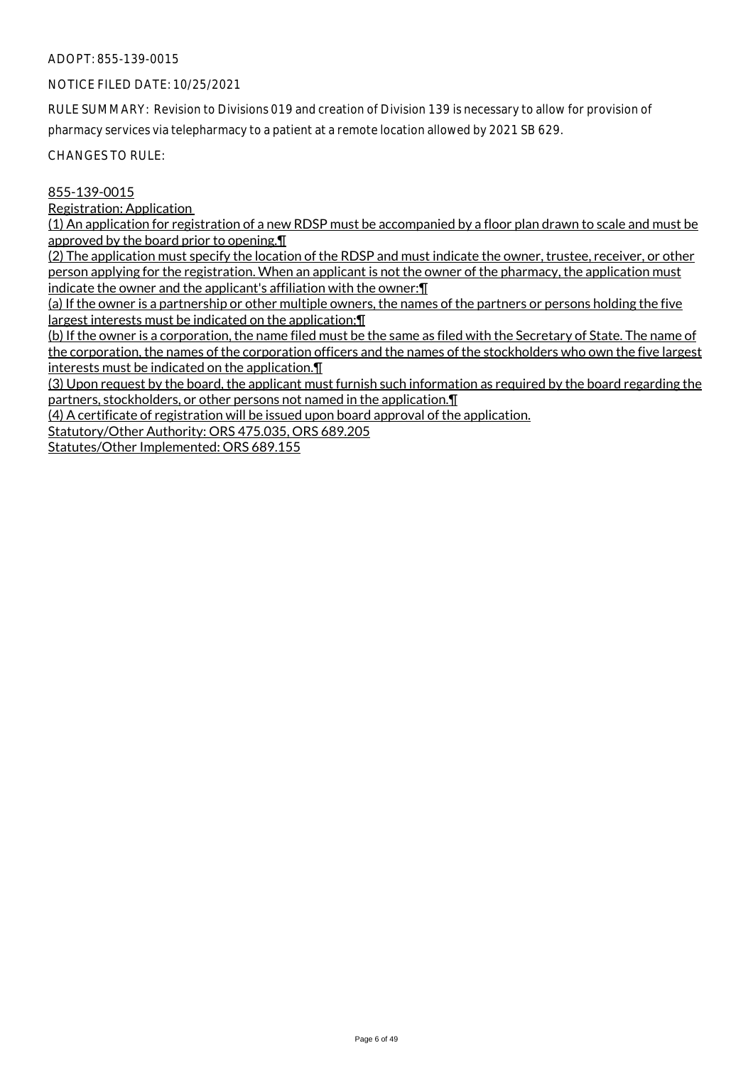# NOTICE FILED DATE: 10/25/2021

RULE SUMMARY: Revision to Divisions 019 and creation of Division 139 is necessary to allow for provision of pharmacy services via telepharmacy to a patient at a remote location allowed by 2021 SB 629.

CHANGES TO RULE:

# 855-139-0015

Registration: Application

(1) An application for registration of a new RDSP must be accompanied by a floor plan drawn to scale and must be approved by the board prior to opening.¶

(2) The application must specify the location of the RDSP and must indicate the owner, trustee, receiver, or other person applying for the registration. When an applicant is not the owner of the pharmacy, the application must indicate the owner and the applicant's affiliation with the owner:¶

(a) If the owner is a partnership or other multiple owners, the names of the partners or persons holding the five largest interests must be indicated on the application;¶

(b) If the owner is a corporation, the name filed must be the same as filed with the Secretary of State. The name of the corporation, the names of the corporation officers and the names of the stockholders who own the five largest interests must be indicated on the application.¶

(3) Upon request by the board, the applicant must furnish such information as required by the board regarding the partners, stockholders, or other persons not named in the application.¶

(4) A certificate of registration will be issued upon board approval of the application.

Statutory/Other Authority: ORS 475.035, ORS 689.205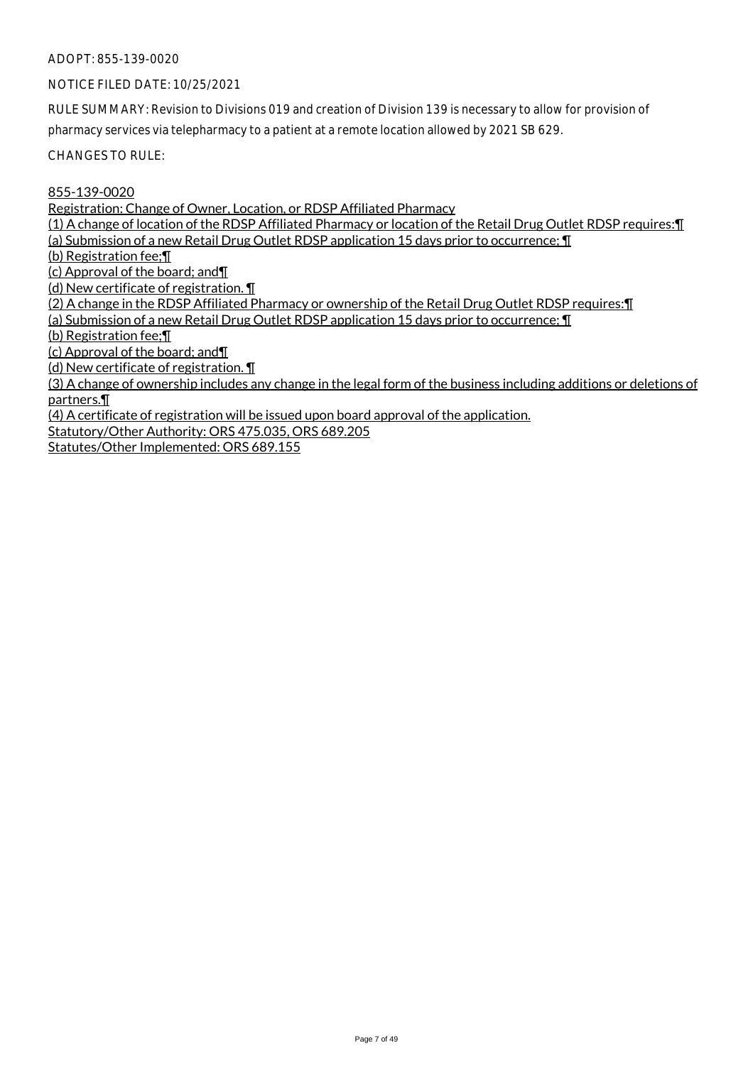NOTICE FILED DATE: 10/25/2021

RULE SUMMARY: Revision to Divisions 019 and creation of Division 139 is necessary to allow for provision of pharmacy services via telepharmacy to a patient at a remote location allowed by 2021 SB 629.

CHANGES TO RULE:

855-139-0020

Registration: Change of Owner, Location, or RDSP Affiliated Pharmacy

(1) A change of location of the RDSP Affiliated Pharmacy or location of the Retail Drug Outlet RDSP requires:¶

(a) Submission of a new Retail Drug Outlet RDSP application 15 days prior to occurrence; ¶

(b) Registration fee;¶

(c) Approval of the board; and¶

(d) New certificate of registration. ¶

(2) A change in the RDSP Affiliated Pharmacy or ownership of the Retail Drug Outlet RDSP requires:¶

(a) Submission of a new Retail Drug Outlet RDSP application 15 days prior to occurrence; ¶

(b) Registration fee;¶

(c) Approval of the board; and¶

(d) New certificate of registration. ¶

(3) A change of ownership includes any change in the legal form of the business including additions or deletions of partners.¶

(4) A certificate of registration will be issued upon board approval of the application.

Statutory/Other Authority: ORS 475.035, ORS 689.205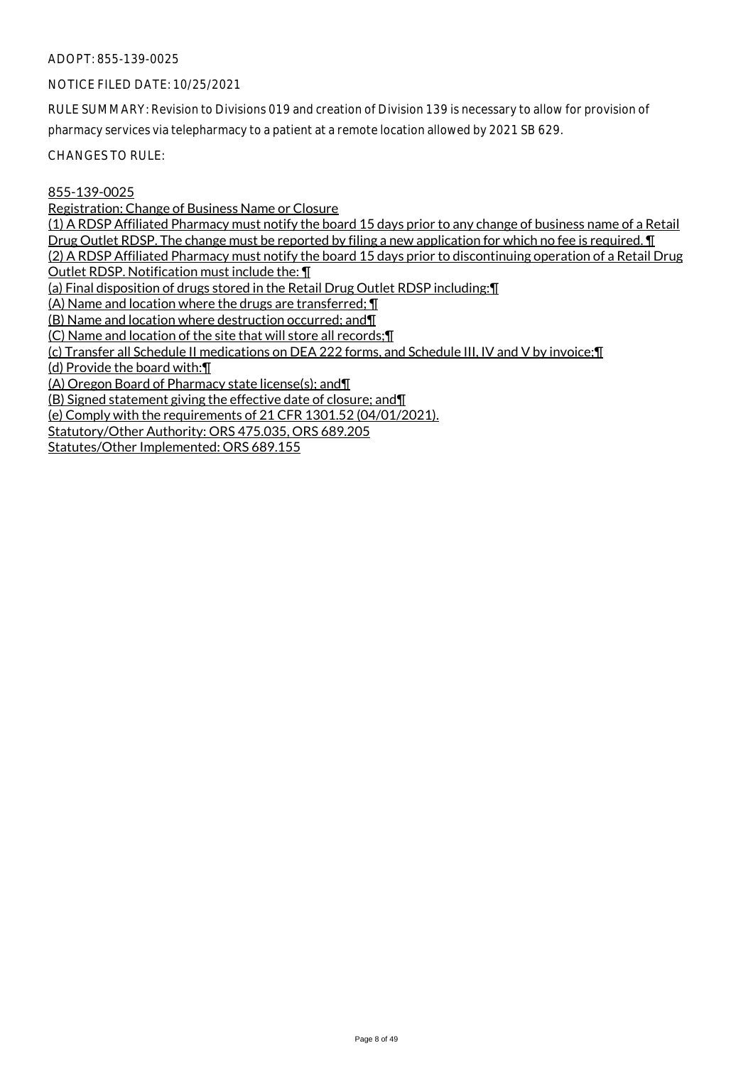#### NOTICE FILED DATE: 10/25/2021

RULE SUMMARY: Revision to Divisions 019 and creation of Division 139 is necessary to allow for provision of pharmacy services via telepharmacy to a patient at a remote location allowed by 2021 SB 629.

CHANGES TO RULE:

855-139-0025

Registration: Change of Business Name or Closure (1) A RDSP Affiliated Pharmacy must notify the board 15 days prior to any change of business name of a Retail Drug Outlet RDSP. The change must be reported by filing a new application for which no fee is required. **I** (2) A RDSP Affiliated Pharmacy must notify the board 15 days prior to discontinuing operation of a Retail Drug Outlet RDSP. Notification must include the: ¶ (a) Final disposition of drugs stored in the Retail Drug Outlet RDSP including:¶ (A) Name and location where the drugs are transferred; ¶ (B) Name and location where destruction occurred; and¶ (C) Name and location of the site that will store all records;¶ (c) Transfer all Schedule II medications on DEA 222 forms, and Schedule III, IV and V by invoice;¶ (d) Provide the board with:¶ (A) Oregon Board of Pharmacy state license(s); and¶ (B) Signed statement giving the effective date of closure; and¶ (e) Comply with the requirements of 21 CFR 1301.52 (04/01/2021).

Statutory/Other Authority: ORS 475.035, ORS 689.205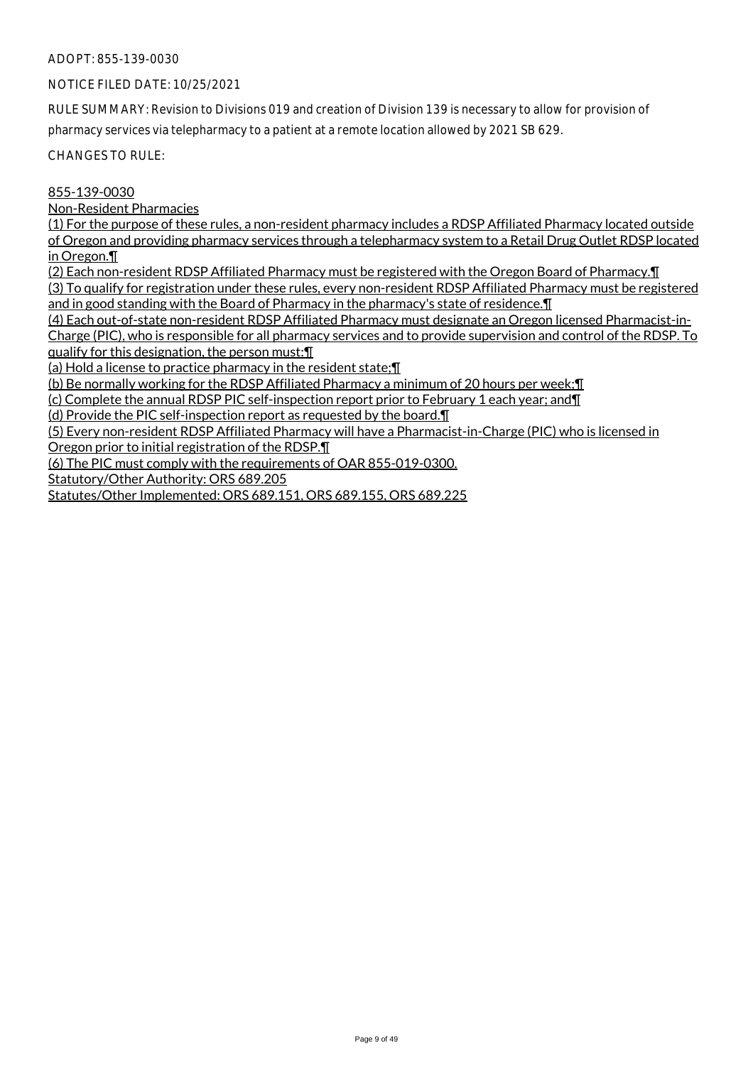# NOTICE FILED DATE: 10/25/2021

RULE SUMMARY: Revision to Divisions 019 and creation of Division 139 is necessary to allow for provision of pharmacy services via telepharmacy to a patient at a remote location allowed by 2021 SB 629.

CHANGES TO RULE:

# 855-139-0030

Non-Resident Pharmacies

(1) For the purpose of these rules, a non-resident pharmacy includes a RDSP Affiliated Pharmacy located outside of Oregon and providing pharmacy services through a telepharmacy system to a Retail Drug Outlet RDSP located in Oregon.¶

(2) Each non-resident RDSP Affiliated Pharmacy must be registered with the Oregon Board of Pharmacy.¶

(3) To qualify for registration under these rules, every non-resident RDSP Affiliated Pharmacy must be registered and in good standing with the Board of Pharmacy in the pharmacy's state of residence.¶

(4) Each out-of-state non-resident RDSP Affiliated Pharmacy must designate an Oregon licensed Pharmacist-in-Charge (PIC), who is responsible for all pharmacy services and to provide supervision and control of the RDSP. To qualify for this designation, the person must:¶

(a) Hold a license to practice pharmacy in the resident state;¶

(b) Be normally working for the RDSP Affiliated Pharmacy a minimum of 20 hours per week;¶

(c) Complete the annual RDSP PIC self-inspection report prior to February 1 each year; and¶

(d) Provide the PIC self-inspection report as requested by the board.¶

(5) Every non-resident RDSP Affiliated Pharmacy will have a Pharmacist-in-Charge (PIC) who is licensed in Oregon prior to initial registration of the RDSP.¶

(6) The PIC must comply with the requirements of OAR 855-019-0300.

Statutory/Other Authority: ORS 689.205

Statutes/Other Implemented: ORS 689.151, ORS 689.155, ORS 689.225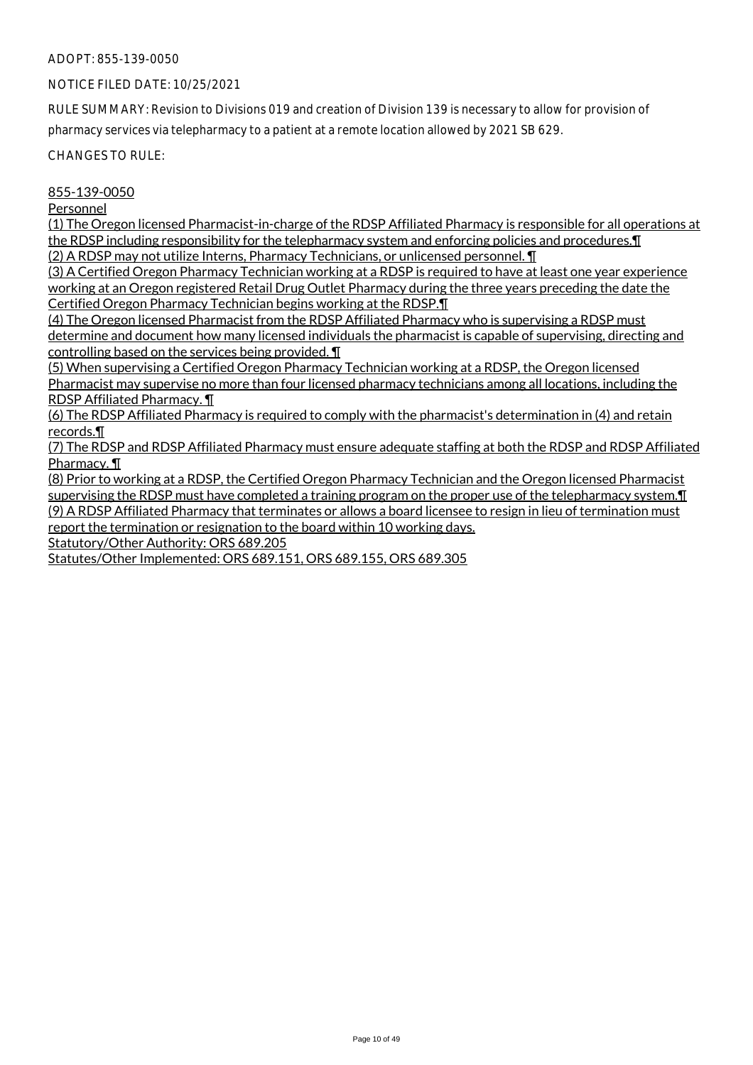#### NOTICE FILED DATE: 10/25/2021

RULE SUMMARY: Revision to Divisions 019 and creation of Division 139 is necessary to allow for provision of pharmacy services via telepharmacy to a patient at a remote location allowed by 2021 SB 629.

CHANGES TO RULE:

#### 855-139-0050

#### Personnel

(1) The Oregon licensed Pharmacist-in-charge of the RDSP Affiliated Pharmacy is responsible for all operations at the RDSP including responsibility for the telepharmacy system and enforcing policies and procedures. I (2) A RDSP may not utilize Interns, Pharmacy Technicians, or unlicensed personnel. ¶

(3) A Certified Oregon Pharmacy Technician working at a RDSP is required to have at least one year experience working at an Oregon registered Retail Drug Outlet Pharmacy during the three years preceding the date the Certified Oregon Pharmacy Technician begins working at the RDSP.¶

(4) The Oregon licensed Pharmacist from the RDSP Affiliated Pharmacy who is supervising a RDSP must determine and document how many licensed individuals the pharmacist is capable of supervising, directing and controlling based on the services being provided. ¶

(5) When supervising a Certified Oregon Pharmacy Technician working at a RDSP, the Oregon licensed Pharmacist may supervise no more than four licensed pharmacy technicians among all locations, including the RDSP Affiliated Pharmacy. ¶

(6) The RDSP Affiliated Pharmacy is required to comply with the pharmacist's determination in (4) and retain records.¶

(7) The RDSP and RDSP Affiliated Pharmacy must ensure adequate staffing at both the RDSP and RDSP Affiliated Pharmacy. ¶

(8) Prior to working at a RDSP, the Certified Oregon Pharmacy Technician and the Oregon licensed Pharmacist supervising the RDSP must have completed a training program on the proper use of the telepharmacy system.¶ (9) A RDSP Affiliated Pharmacy that terminates or allows a board licensee to resign in lieu of termination must report the termination or resignation to the board within 10 working days.

Statutory/Other Authority: ORS 689.205

Statutes/Other Implemented: ORS 689.151, ORS 689.155, ORS 689.305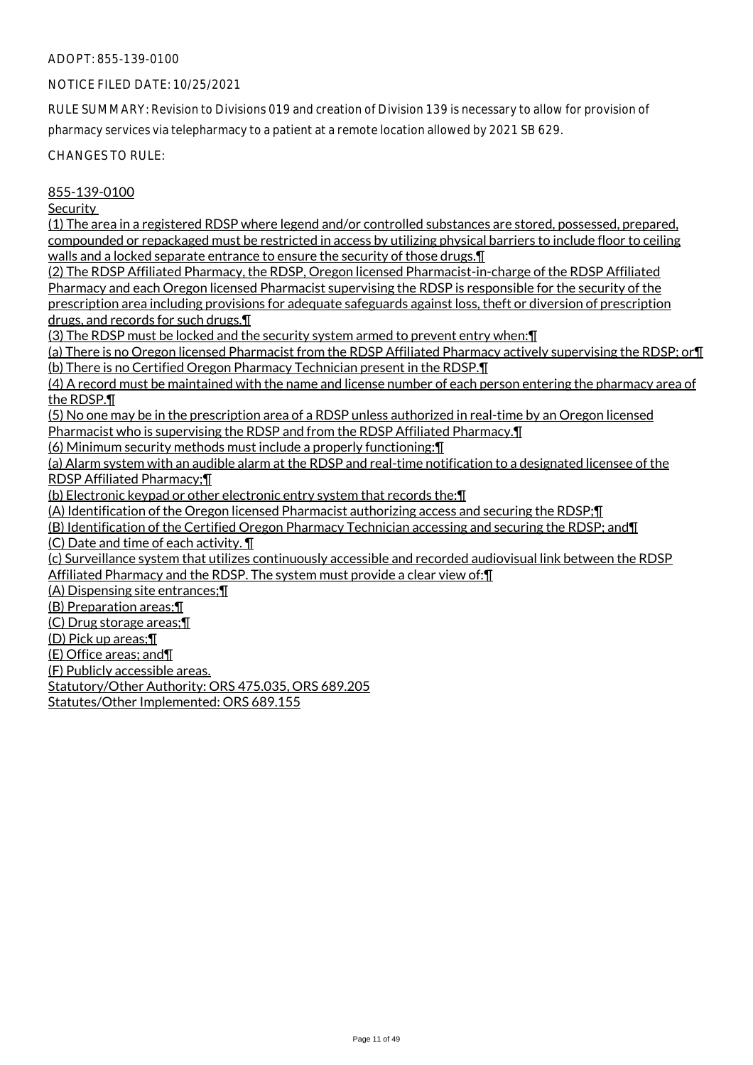# NOTICE FILED DATE: 10/25/2021

RULE SUMMARY: Revision to Divisions 019 and creation of Division 139 is necessary to allow for provision of pharmacy services via telepharmacy to a patient at a remote location allowed by 2021 SB 629.

CHANGES TO RULE:

# 855-139-0100

**Security** 

(1) The area in a registered RDSP where legend and/or controlled substances are stored, possessed, prepared, compounded or repackaged must be restricted in access by utilizing physical barriers to include floor to ceiling walls and a locked separate entrance to ensure the security of those drugs. I

(2) The RDSP Affiliated Pharmacy, the RDSP, Oregon licensed Pharmacist-in-charge of the RDSP Affiliated Pharmacy and each Oregon licensed Pharmacist supervising the RDSP is responsible for the security of the prescription area including provisions for adequate safeguards against loss, theft or diversion of prescription drugs, and records for such drugs.¶

(3) The RDSP must be locked and the security system armed to prevent entry when:¶

(a) There is no Oregon licensed Pharmacist from the RDSP Affiliated Pharmacy actively supervising the RDSP; or¶ (b) There is no Certified Oregon Pharmacy Technician present in the RDSP.¶

(4) A record must be maintained with the name and license number of each person entering the pharmacy area of the RDSP.¶

(5) No one may be in the prescription area of a RDSP unless authorized in real-time by an Oregon licensed Pharmacist who is supervising the RDSP and from the RDSP Affiliated Pharmacy.¶

(6) Minimum security methods must include a properly functioning:¶

(a) Alarm system with an audible alarm at the RDSP and real-time notification to a designated licensee of the RDSP Affiliated Pharmacy;¶

(b) Electronic keypad or other electronic entry system that records the:¶

(A) Identification of the Oregon licensed Pharmacist authorizing access and securing the RDSP;¶

(B) Identification of the Certified Oregon Pharmacy Technician accessing and securing the RDSP; and¶

(C) Date and time of each activity. ¶

(c) Surveillance system that utilizes continuously accessible and recorded audiovisual link between the RDSP Affiliated Pharmacy and the RDSP. The system must provide a clear view of:¶

(A) Dispensing site entrances;¶

(B) Preparation areas;¶

(C) Drug storage areas;¶

(D) Pick up areas;¶

(E) Office areas; and¶

(F) Publicly accessible areas.

Statutory/Other Authority: ORS 475.035, ORS 689.205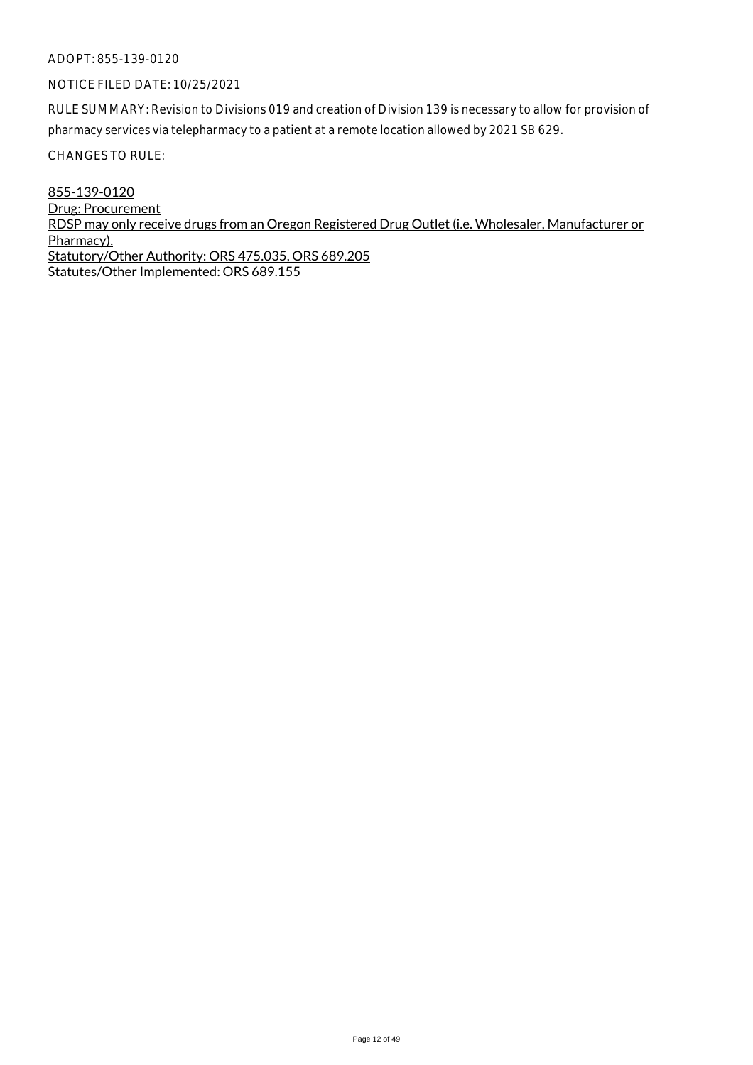# NOTICE FILED DATE: 10/25/2021

RULE SUMMARY: Revision to Divisions 019 and creation of Division 139 is necessary to allow for provision of pharmacy services via telepharmacy to a patient at a remote location allowed by 2021 SB 629.

CHANGES TO RULE:

855-139-0120 Drug: Procurement RDSP may only receive drugs from an Oregon Registered Drug Outlet (i.e. Wholesaler, Manufacturer or Pharmacy). Statutory/Other Authority: ORS 475.035, ORS 689.205 Statutes/Other Implemented: ORS 689.155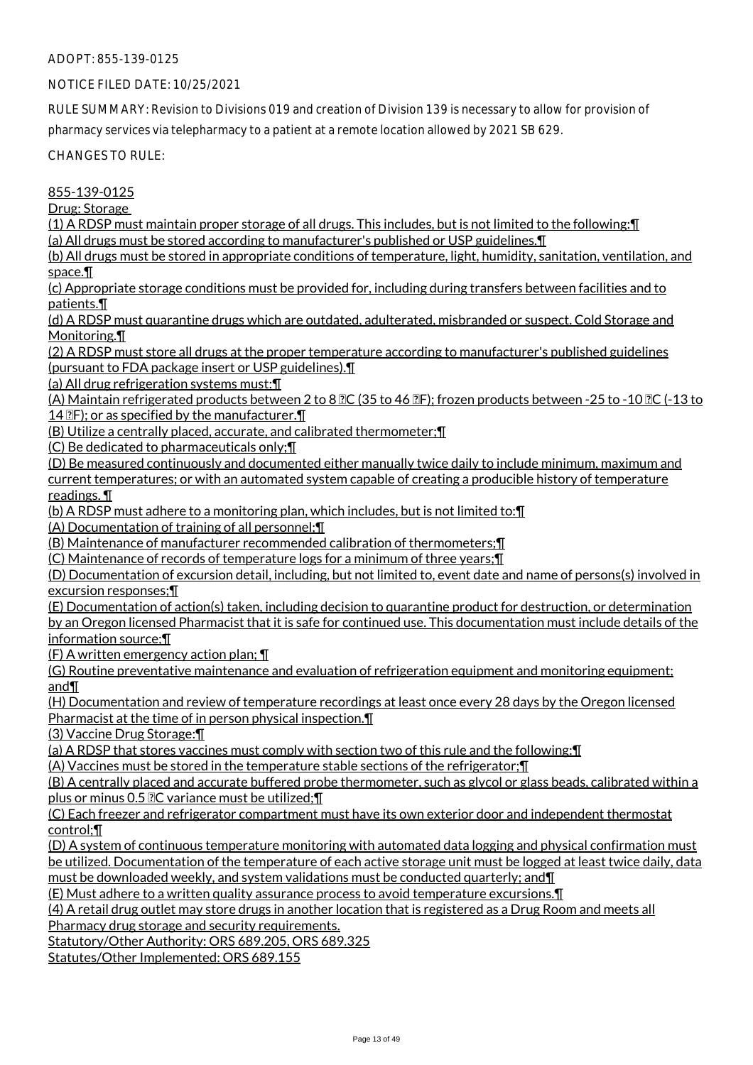# NOTICE FILED DATE: 10/25/2021

RULE SUMMARY: Revision to Divisions 019 and creation of Division 139 is necessary to allow for provision of pharmacy services via telepharmacy to a patient at a remote location allowed by 2021 SB 629.

CHANGES TO RULE:

855-139-0125

Drug: Storage

(1) A RDSP must maintain proper storage of all drugs. This includes, but is not limited to the following:¶ (a) All drugs must be stored according to manufacturer's published or USP guidelines.¶

(b) All drugs must be stored in appropriate conditions of temperature, light, humidity, sanitation, ventilation, and space.¶

(c) Appropriate storage conditions must be provided for, including during transfers between facilities and to patients.¶

(d) A RDSP must quarantine drugs which are outdated, adulterated, misbranded or suspect. Cold Storage and Monitoring.¶

(2) A RDSP must store all drugs at the proper temperature according to manufacturer's published guidelines (pursuant to FDA package insert or USP guidelines).¶

(a) All drug refrigeration systems must:¶

(A) Maintain refrigerated products between 2 to 8  $\overline{2}C$  (35 to 46  $\overline{2}F$ ); frozen products between -25 to -10  $\overline{2}C$  (-13 to 14  $\mathbb{Z}F$ ); or as specified by the manufacturer. $\P$ 

(B) Utilize a centrally placed, accurate, and calibrated thermometer;¶

(C) Be dedicated to pharmaceuticals only;¶

(D) Be measured continuously and documented either manually twice daily to include minimum, maximum and current temperatures; or with an automated system capable of creating a producible history of temperature readings. ¶

(b) A RDSP must adhere to a monitoring plan, which includes, but is not limited to:¶

(A) Documentation of training of all personnel;¶

(B) Maintenance of manufacturer recommended calibration of thermometers;¶

(C) Maintenance of records of temperature logs for a minimum of three years;¶

(D) Documentation of excursion detail, including, but not limited to, event date and name of persons(s) involved in excursion responses;¶

(E) Documentation of action(s) taken, including decision to quarantine product for destruction, or determination by an Oregon licensed Pharmacist that it is safe for continued use. This documentation must include details of the information source;¶

(F) A written emergency action plan; ¶

(G) Routine preventative maintenance and evaluation of refrigeration equipment and monitoring equipment; and¶

(H) Documentation and review of temperature recordings at least once every 28 days by the Oregon licensed Pharmacist at the time of in person physical inspection.¶

(3) Vaccine Drug Storage:¶

(a) A RDSP that stores vaccines must comply with section two of this rule and the following:¶

(A) Vaccines must be stored in the temperature stable sections of the refrigerator;¶

(B) A centrally placed and accurate buffered probe thermometer, such as glycol or glass beads, calibrated within a plus or minus 0.5  $2C$  variance must be utilized;  $\P$ 

(C) Each freezer and refrigerator compartment must have its own exterior door and independent thermostat control;¶

(D) A system of continuous temperature monitoring with automated data logging and physical confirmation must be utilized. Documentation of the temperature of each active storage unit must be logged at least twice daily, data must be downloaded weekly, and system validations must be conducted quarterly; and¶

(E) Must adhere to a written quality assurance process to avoid temperature excursions.¶

(4) A retail drug outlet may store drugs in another location that is registered as a Drug Room and meets all

Pharmacy drug storage and security requirements.

Statutory/Other Authority: ORS 689.205, ORS 689.325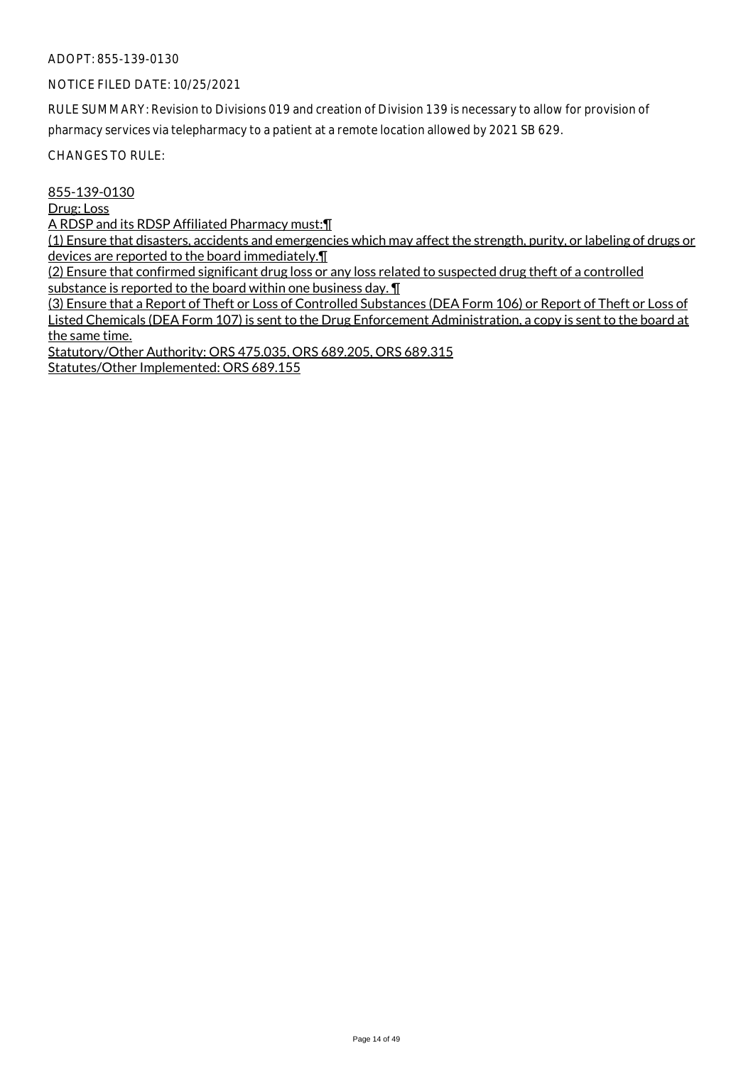# NOTICE FILED DATE: 10/25/2021

RULE SUMMARY: Revision to Divisions 019 and creation of Division 139 is necessary to allow for provision of pharmacy services via telepharmacy to a patient at a remote location allowed by 2021 SB 629.

CHANGES TO RULE:

855-139-0130

Drug: Loss

A RDSP and its RDSP Affiliated Pharmacy must:¶

(1) Ensure that disasters, accidents and emergencies which may affect the strength, purity, or labeling of drugs or devices are reported to the board immediately.¶

(2) Ensure that confirmed significant drug loss or any loss related to suspected drug theft of a controlled substance is reported to the board within one business day. ¶

(3) Ensure that a Report of Theft or Loss of Controlled Substances (DEA Form 106) or Report of Theft or Loss of Listed Chemicals (DEA Form 107) is sent to the Drug Enforcement Administration, a copy is sent to the board at the same time.

Statutory/Other Authority: ORS 475.035, ORS 689.205, ORS 689.315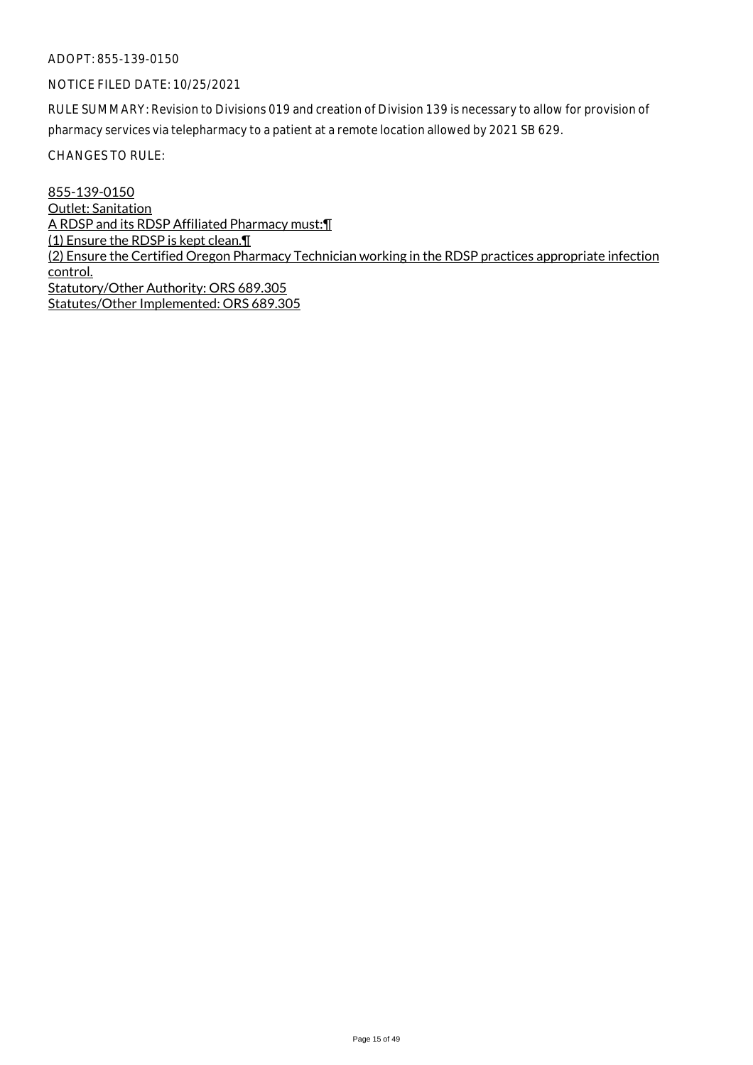# NOTICE FILED DATE: 10/25/2021

RULE SUMMARY: Revision to Divisions 019 and creation of Division 139 is necessary to allow for provision of pharmacy services via telepharmacy to a patient at a remote location allowed by 2021 SB 629.

CHANGES TO RULE:

855-139-0150 Outlet: Sanitation A RDSP and its RDSP Affiliated Pharmacy must:¶ (1) Ensure the RDSP is kept clean.¶ (2) Ensure the Certified Oregon Pharmacy Technician working in the RDSP practices appropriate infection control. Statutory/Other Authority: ORS 689.305 Statutes/Other Implemented: ORS 689.305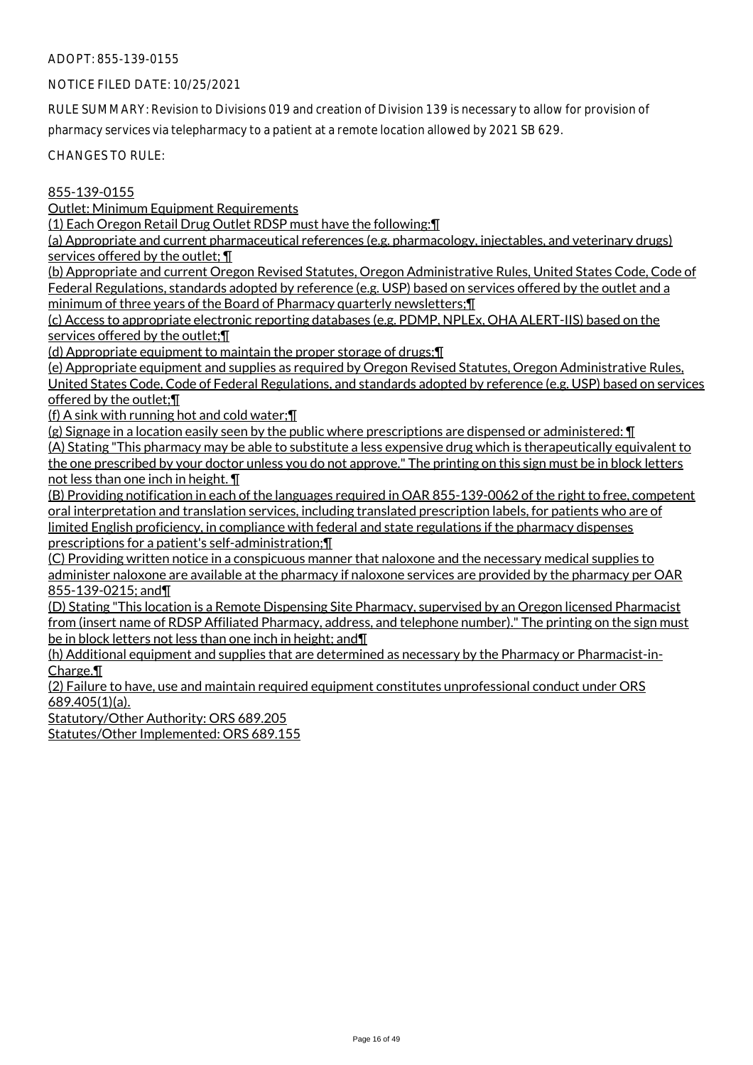# NOTICE FILED DATE: 10/25/2021

RULE SUMMARY: Revision to Divisions 019 and creation of Division 139 is necessary to allow for provision of pharmacy services via telepharmacy to a patient at a remote location allowed by 2021 SB 629.

CHANGES TO RULE:

# 855-139-0155

Outlet: Minimum Equipment Requirements

(1) Each Oregon Retail Drug Outlet RDSP must have the following:¶

(a) Appropriate and current pharmaceutical references (e.g. pharmacology, injectables, and veterinary drugs) services offered by the outlet; ¶

(b) Appropriate and current Oregon Revised Statutes, Oregon Administrative Rules, United States Code, Code of Federal Regulations, standards adopted by reference (e.g. USP) based on services offered by the outlet and a minimum of three years of the Board of Pharmacy quarterly newsletters;¶

(c) Access to appropriate electronic reporting databases (e.g. PDMP, NPLEx, OHA ALERT-IIS) based on the services offered by the outlet;¶

(d) Appropriate equipment to maintain the proper storage of drugs;¶

(e) Appropriate equipment and supplies as required by Oregon Revised Statutes, Oregon Administrative Rules, United States Code, Code of Federal Regulations, and standards adopted by reference (e.g. USP) based on services offered by the outlet;¶

(f) A sink with running hot and cold water;¶

(g) Signage in a location easily seen by the public where prescriptions are dispensed or administered: ¶ (A) Stating "This pharmacy may be able to substitute a less expensive drug which is therapeutically equivalent to the one prescribed by your doctor unless you do not approve." The printing on this sign must be in block letters not less than one inch in height. ¶

(B) Providing notification in each of the languages required in OAR 855-139-0062 of the right to free, competent oral interpretation and translation services, including translated prescription labels, for patients who are of limited English proficiency, in compliance with federal and state regulations if the pharmacy dispenses prescriptions for a patient's self-administration;¶

(C) Providing written notice in a conspicuous manner that naloxone and the necessary medical supplies to administer naloxone are available at the pharmacy if naloxone services are provided by the pharmacy per OAR 855-139-0215; and¶

(D) Stating "This location is a Remote Dispensing Site Pharmacy, supervised by an Oregon licensed Pharmacist from (insert name of RDSP Affiliated Pharmacy, address, and telephone number)." The printing on the sign must be in block letters not less than one inch in height; and¶

(h) Additional equipment and supplies that are determined as necessary by the Pharmacy or Pharmacist-in-Charge.¶

(2) Failure to have, use and maintain required equipment constitutes unprofessional conduct under ORS 689.405(1)(a).

Statutory/Other Authority: ORS 689.205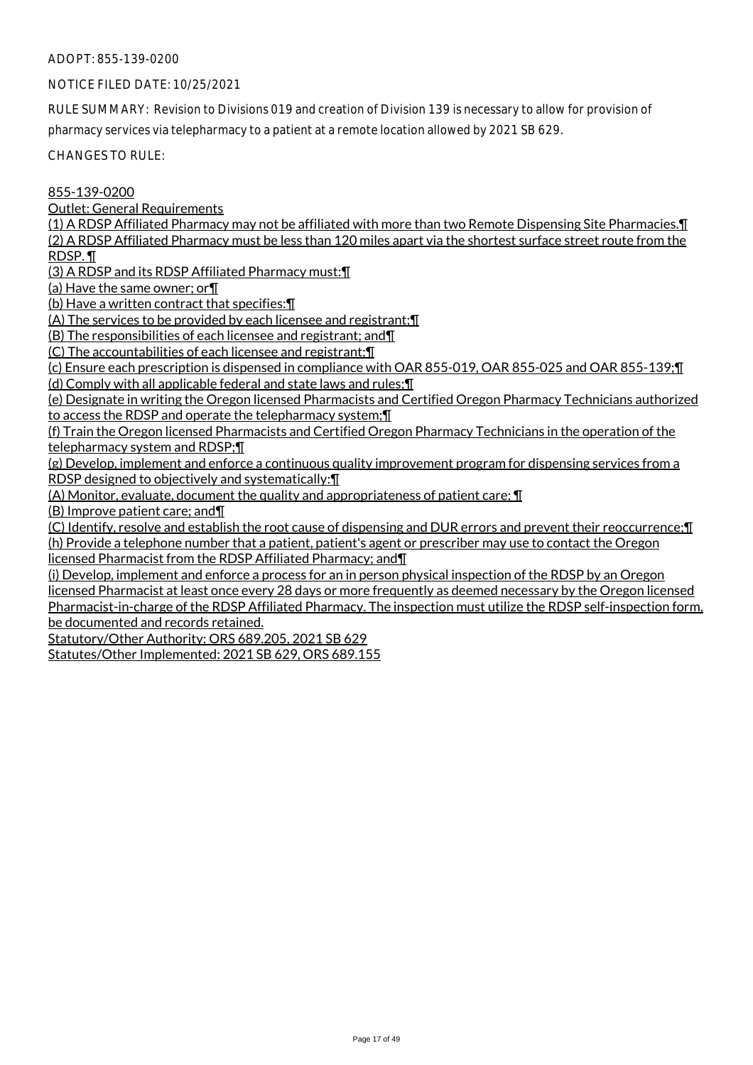#### NOTICE FILED DATE: 10/25/2021

RULE SUMMARY: Revision to Divisions 019 and creation of Division 139 is necessary to allow for provision of pharmacy services via telepharmacy to a patient at a remote location allowed by 2021 SB 629.

CHANGES TO RULE:

855-139-0200

Outlet: General Requirements

(1) A RDSP Affiliated Pharmacy may not be affiliated with more than two Remote Dispensing Site Pharmacies.¶ (2) A RDSP Affiliated Pharmacy must be less than 120 miles apart via the shortest surface street route from the RDSP. ¶

(3) A RDSP and its RDSP Affiliated Pharmacy must:¶

(a) Have the same owner; or¶

(b) Have a written contract that specifies:¶

(A) The services to be provided by each licensee and registrant;¶

(B) The responsibilities of each licensee and registrant; and¶

(C) The accountabilities of each licensee and registrant;¶

(c) Ensure each prescription is dispensed in compliance with OAR 855-019, OAR 855-025 and OAR 855-139;¶

(d) Comply with all applicable federal and state laws and rules;¶

(e) Designate in writing the Oregon licensed Pharmacists and Certified Oregon Pharmacy Technicians authorized to access the RDSP and operate the telepharmacy system;¶

(f) Train the Oregon licensed Pharmacists and Certified Oregon Pharmacy Technicians in the operation of the telepharmacy system and RDSP;¶

(g) Develop, implement and enforce a continuous quality improvement program for dispensing services from a RDSP designed to objectively and systematically:¶

(A) Monitor, evaluate, document the quality and appropriateness of patient care; ¶

(B) Improve patient care; and¶

(C) Identify, resolve and establish the root cause of dispensing and DUR errors and prevent their reoccurrence;¶ (h) Provide a telephone number that a patient, patient's agent or prescriber may use to contact the Oregon licensed Pharmacist from the RDSP Affiliated Pharmacy; and¶

(i) Develop, implement and enforce a process for an in person physical inspection of the RDSP by an Oregon licensed Pharmacist at least once every 28 days or more frequently as deemed necessary by the Oregon licensed Pharmacist-in-charge of the RDSP Affiliated Pharmacy. The inspection must utilize the RDSP self-inspection form, be documented and records retained.

Statutory/Other Authority: ORS 689.205, 2021 SB 629

Statutes/Other Implemented: 2021 SB 629, ORS 689.155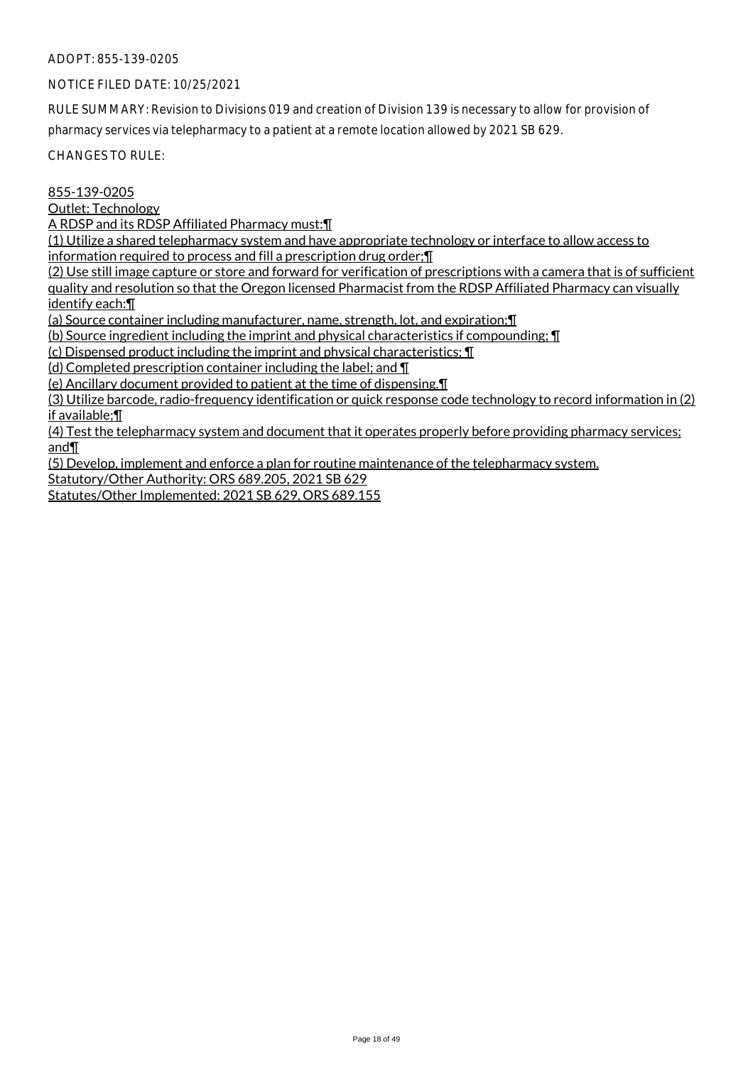# NOTICE FILED DATE: 10/25/2021

RULE SUMMARY: Revision to Divisions 019 and creation of Division 139 is necessary to allow for provision of pharmacy services via telepharmacy to a patient at a remote location allowed by 2021 SB 629.

CHANGES TO RULE:

# 855-139-0205

Outlet: Technology

A RDSP and its RDSP Affiliated Pharmacy must:¶

(1) Utilize a shared telepharmacy system and have appropriate technology or interface to allow access to information required to process and fill a prescription drug order;¶

(2) Use still image capture or store and forward for verification of prescriptions with a camera that is of sufficient

quality and resolution so that the Oregon licensed Pharmacist from the RDSP Affiliated Pharmacy can visually identify each:¶

(a) Source container including manufacturer, name, strength, lot, and expiration;¶

(b) Source ingredient including the imprint and physical characteristics if compounding; ¶

(c) Dispensed product including the imprint and physical characteristics; ¶

(d) Completed prescription container including the label; and ¶

(e) Ancillary document provided to patient at the time of dispensing.¶

(3) Utilize barcode, radio-frequency identification or quick response code technology to record information in (2) if available;¶

(4) Test the telepharmacy system and document that it operates properly before providing pharmacy services; and¶

(5) Develop, implement and enforce a plan for routine maintenance of the telepharmacy system. Statutory/Other Authority: ORS 689.205, 2021 SB 629

Statutes/Other Implemented: 2021 SB 629, ORS 689.155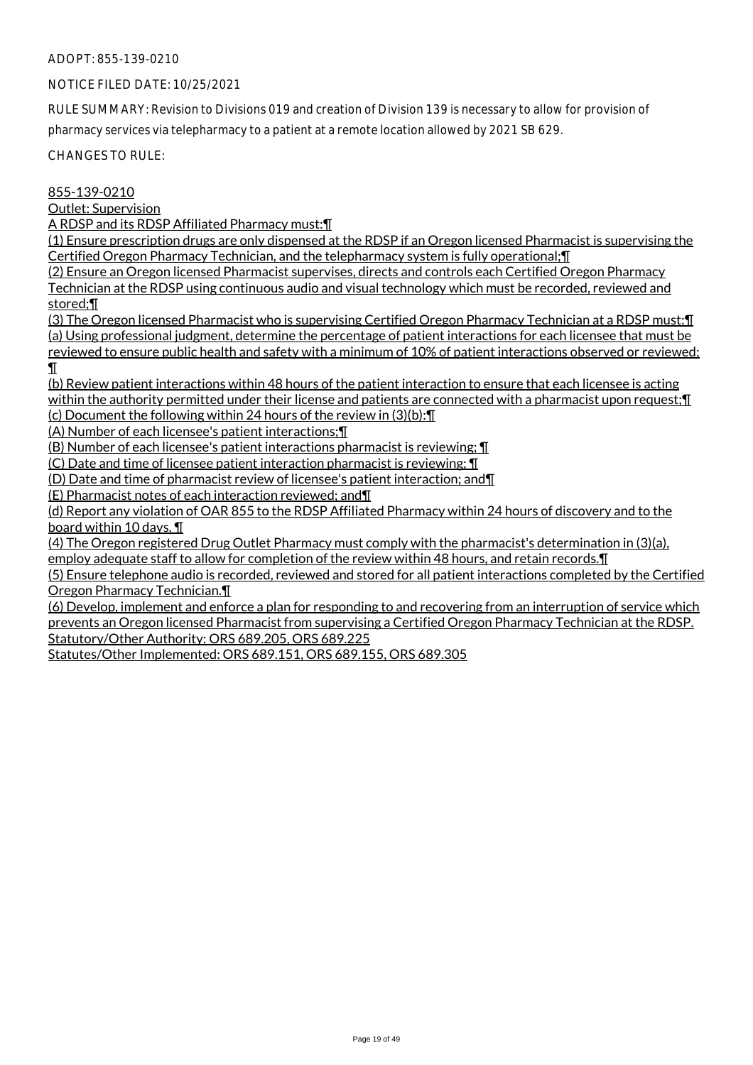# NOTICE FILED DATE: 10/25/2021

RULE SUMMARY: Revision to Divisions 019 and creation of Division 139 is necessary to allow for provision of pharmacy services via telepharmacy to a patient at a remote location allowed by 2021 SB 629.

CHANGES TO RULE:

# 855-139-0210

Outlet: Supervision

A RDSP and its RDSP Affiliated Pharmacy must:¶

(1) Ensure prescription drugs are only dispensed at the RDSP if an Oregon licensed Pharmacist is supervising the Certified Oregon Pharmacy Technician, and the telepharmacy system is fully operational;¶

(2) Ensure an Oregon licensed Pharmacist supervises, directs and controls each Certified Oregon Pharmacy Technician at the RDSP using continuous audio and visual technology which must be recorded, reviewed and

stored;¶

(3) The Oregon licensed Pharmacist who is supervising Certified Oregon Pharmacy Technician at a RDSP must:¶ (a) Using professional judgment, determine the percentage of patient interactions for each licensee that must be reviewed to ensure public health and safety with a minimum of 10% of patient interactions observed or reviewed; ¶

(b) Review patient interactions within 48 hours of the patient interaction to ensure that each licensee is acting within the authority permitted under their license and patients are connected with a pharmacist upon request; [1] (c) Document the following within 24 hours of the review in (3)(b):¶

(A) Number of each licensee's patient interactions;¶

(B) Number of each licensee's patient interactions pharmacist is reviewing; ¶

(C) Date and time of licensee patient interaction pharmacist is reviewing; ¶

(D) Date and time of pharmacist review of licensee's patient interaction; and¶

(E) Pharmacist notes of each interaction reviewed; and¶

(d) Report any violation of OAR 855 to the RDSP Affiliated Pharmacy within 24 hours of discovery and to the board within 10 days. ¶

(4) The Oregon registered Drug Outlet Pharmacy must comply with the pharmacist's determination in (3)(a), employ adequate staff to allow for completion of the review within 48 hours, and retain records.¶

(5) Ensure telephone audio is recorded, reviewed and stored for all patient interactions completed by the Certified Oregon Pharmacy Technician.¶

(6) Develop, implement and enforce a plan for responding to and recovering from an interruption of service which prevents an Oregon licensed Pharmacist from supervising a Certified Oregon Pharmacy Technician at the RDSP. Statutory/Other Authority: ORS 689.205, ORS 689.225

Statutes/Other Implemented: ORS 689.151, ORS 689.155, ORS 689.305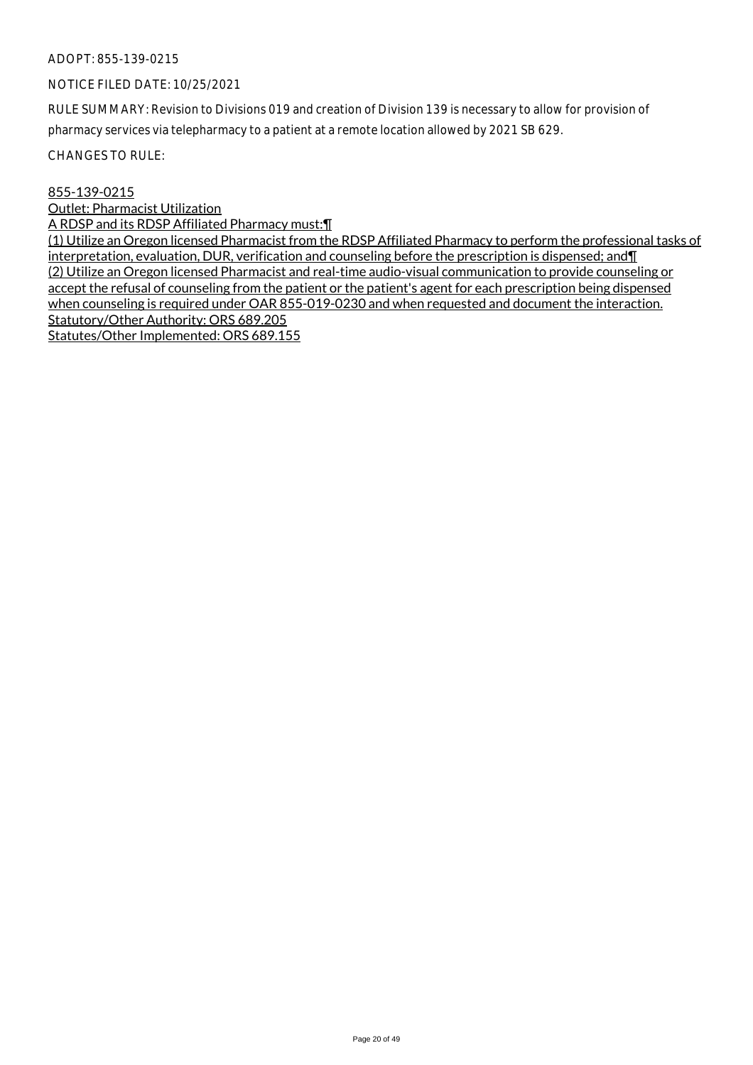# NOTICE FILED DATE: 10/25/2021

RULE SUMMARY: Revision to Divisions 019 and creation of Division 139 is necessary to allow for provision of pharmacy services via telepharmacy to a patient at a remote location allowed by 2021 SB 629.

CHANGES TO RULE:

#### 855-139-0215

Outlet: Pharmacist Utilization

A RDSP and its RDSP Affiliated Pharmacy must:¶

(1) Utilize an Oregon licensed Pharmacist from the RDSP Affiliated Pharmacy to perform the professional tasks of interpretation, evaluation, DUR, verification and counseling before the prescription is dispensed; and¶ (2) Utilize an Oregon licensed Pharmacist and real-time audio-visual communication to provide counseling or accept the refusal of counseling from the patient or the patient's agent for each prescription being dispensed when counseling is required under OAR 855-019-0230 and when requested and document the interaction. Statutory/Other Authority: ORS 689.205 Statutes/Other Implemented: ORS 689.155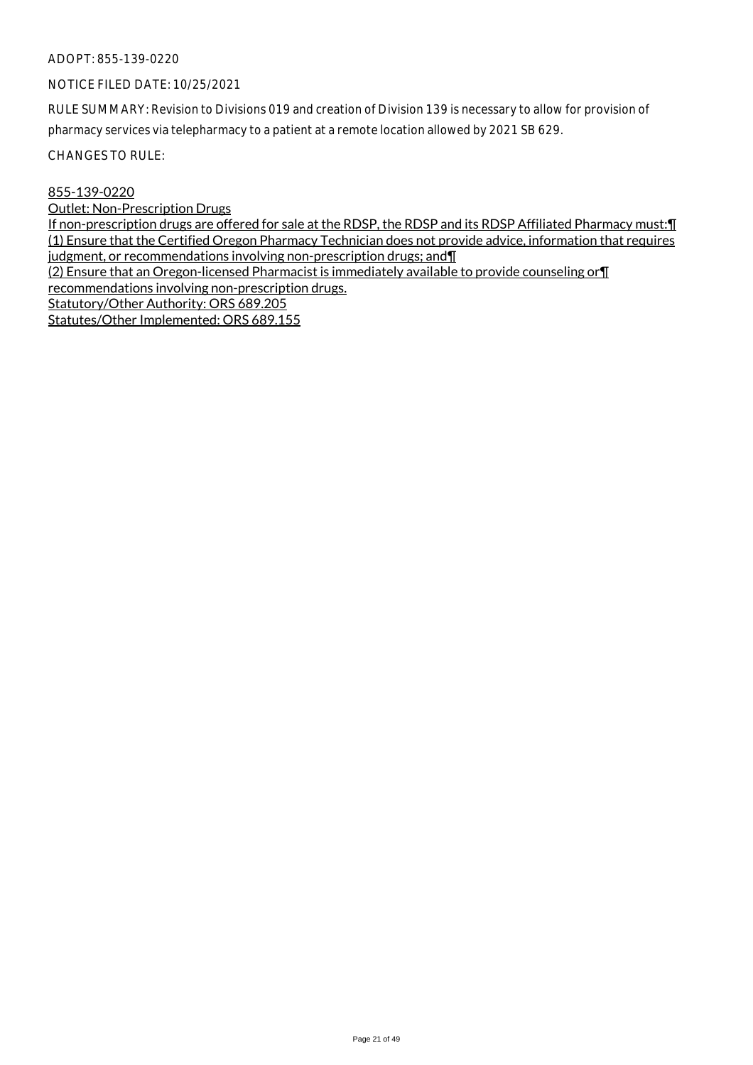# NOTICE FILED DATE: 10/25/2021

RULE SUMMARY: Revision to Divisions 019 and creation of Division 139 is necessary to allow for provision of pharmacy services via telepharmacy to a patient at a remote location allowed by 2021 SB 629.

CHANGES TO RULE:

#### 855-139-0220

Outlet: Non-Prescription Drugs

If non-prescription drugs are offered for sale at the RDSP, the RDSP and its RDSP Affiliated Pharmacy must:¶ (1) Ensure that the Certified Oregon Pharmacy Technician does not provide advice, information that requires judgment, or recommendations involving non-prescription drugs; and II

(2) Ensure that an Oregon-licensed Pharmacist is immediately available to provide counseling or¶

recommendations involving non-prescription drugs.

Statutory/Other Authority: ORS 689.205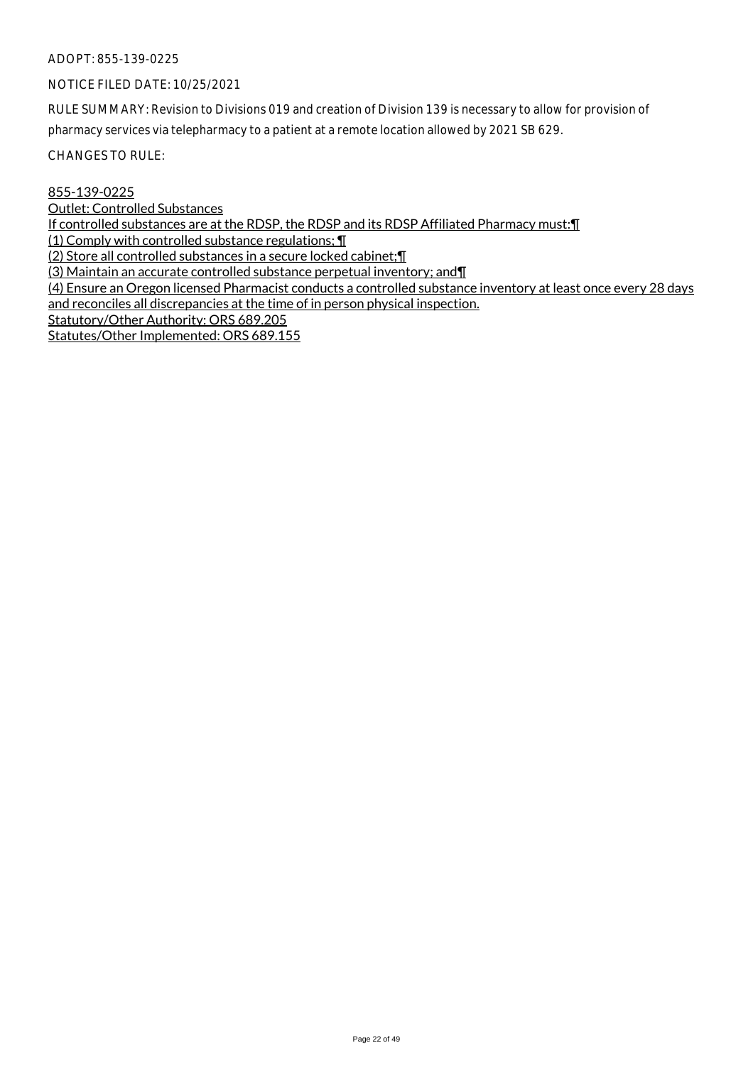# NOTICE FILED DATE: 10/25/2021

RULE SUMMARY: Revision to Divisions 019 and creation of Division 139 is necessary to allow for provision of pharmacy services via telepharmacy to a patient at a remote location allowed by 2021 SB 629.

CHANGES TO RULE:

# 855-139-0225

Outlet: Controlled Substances

If controlled substances are at the RDSP, the RDSP and its RDSP Affiliated Pharmacy must:¶

(1) Comply with controlled substance regulations; ¶

(2) Store all controlled substances in a secure locked cabinet;¶

(3) Maintain an accurate controlled substance perpetual inventory; and¶

(4) Ensure an Oregon licensed Pharmacist conducts a controlled substance inventory at least once every 28 days and reconciles all discrepancies at the time of in person physical inspection.

Statutory/Other Authority: ORS 689.205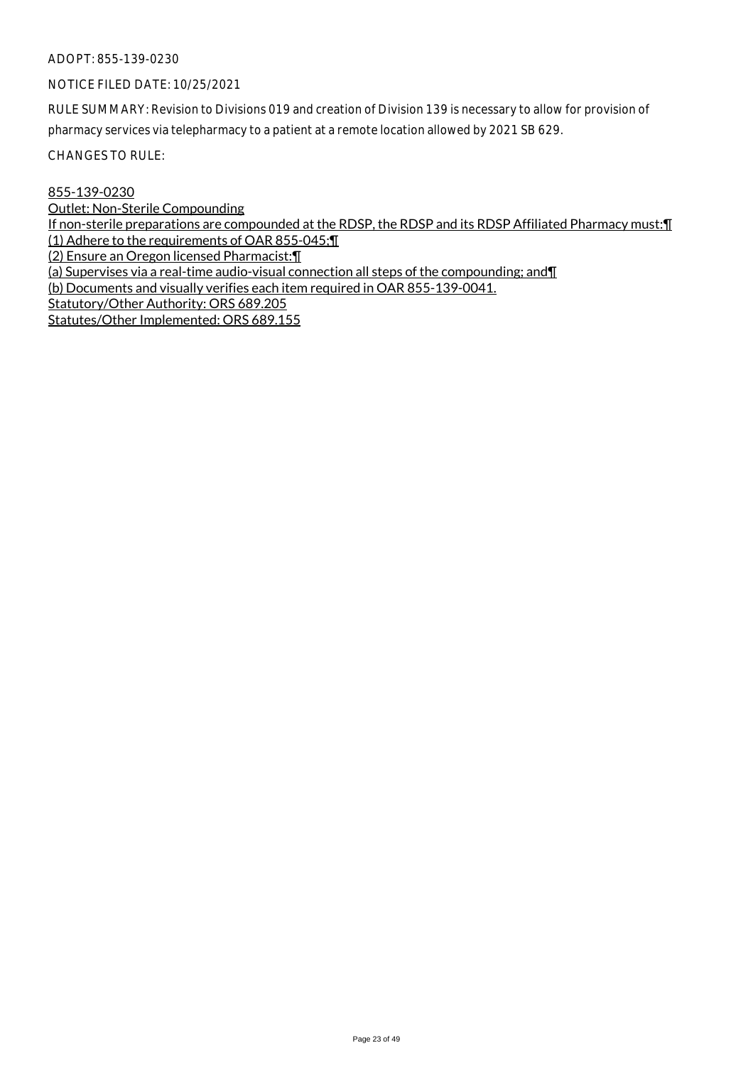# NOTICE FILED DATE: 10/25/2021

RULE SUMMARY: Revision to Divisions 019 and creation of Division 139 is necessary to allow for provision of pharmacy services via telepharmacy to a patient at a remote location allowed by 2021 SB 629.

CHANGES TO RULE:

# 855-139-0230

Outlet: Non-Sterile Compounding

If non-sterile preparations are compounded at the RDSP, the RDSP and its RDSP Affiliated Pharmacy must:¶ (1) Adhere to the requirements of OAR 855-045;¶

(2) Ensure an Oregon licensed Pharmacist:¶

(a) Supervises via a real-time audio-visual connection all steps of the compounding; and¶

(b) Documents and visually verifies each item required in OAR 855-139-0041.

Statutory/Other Authority: ORS 689.205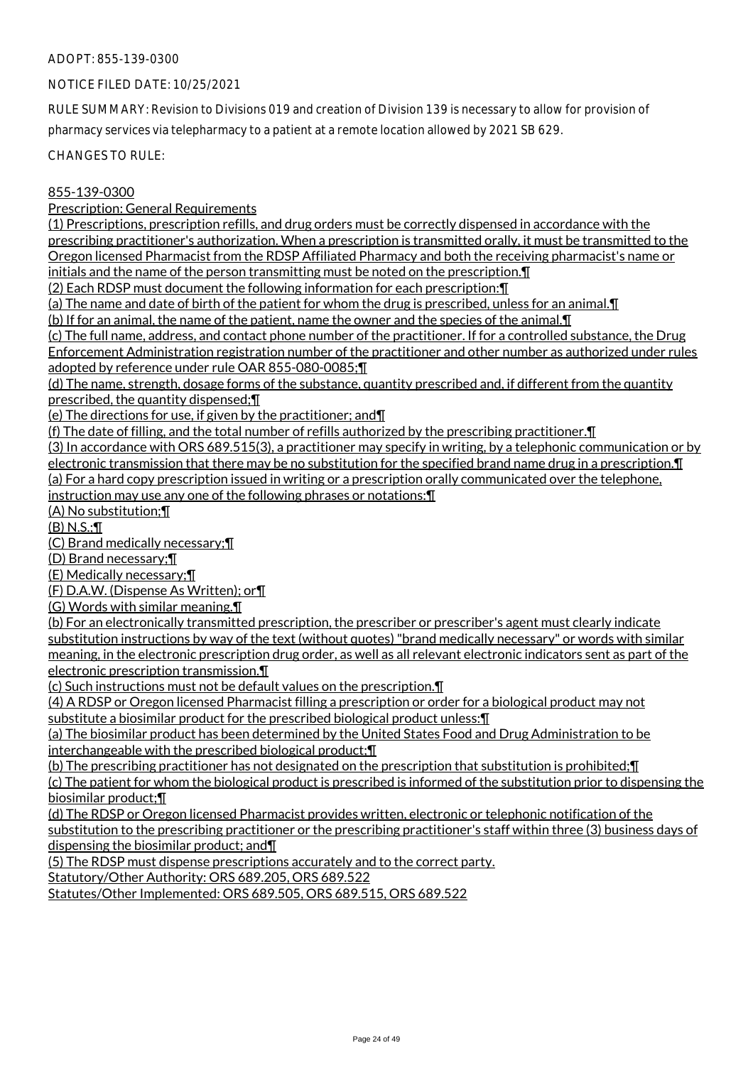#### NOTICE FILED DATE: 10/25/2021

RULE SUMMARY: Revision to Divisions 019 and creation of Division 139 is necessary to allow for provision of pharmacy services via telepharmacy to a patient at a remote location allowed by 2021 SB 629.

CHANGES TO RULE:

#### 855-139-0300

Prescription: General Requirements

(1) Prescriptions, prescription refills, and drug orders must be correctly dispensed in accordance with the prescribing practitioner's authorization. When a prescription is transmitted orally, it must be transmitted to the Oregon licensed Pharmacist from the RDSP Affiliated Pharmacy and both the receiving pharmacist's name or initials and the name of the person transmitting must be noted on the prescription.¶

(2) Each RDSP must document the following information for each prescription:¶

(a) The name and date of birth of the patient for whom the drug is prescribed, unless for an animal.¶

(b) If for an animal, the name of the patient, name the owner and the species of the animal.¶

(c) The full name, address, and contact phone number of the practitioner. If for a controlled substance, the Drug Enforcement Administration registration number of the practitioner and other number as authorized under rules adopted by reference under rule OAR 855-080-0085;¶

(d) The name, strength, dosage forms of the substance, quantity prescribed and, if different from the quantity prescribed, the quantity dispensed;¶

(e) The directions for use, if given by the practitioner; and¶

(f) The date of filling, and the total number of refills authorized by the prescribing practitioner.¶

(3) In accordance with ORS 689.515(3), a practitioner may specify in writing, by a telephonic communication or by electronic transmission that there may be no substitution for the specified brand name drug in a prescription.¶ (a) For a hard copy prescription issued in writing or a prescription orally communicated over the telephone, instruction may use any one of the following phrases or notations:¶

(A) No substitution;¶

(B) N.S.;¶

(C) Brand medically necessary;¶

(D) Brand necessary;¶

(E) Medically necessary;¶

(F) D.A.W. (Dispense As Written); or¶

(G) Words with similar meaning.¶

(b) For an electronically transmitted prescription, the prescriber or prescriber's agent must clearly indicate substitution instructions by way of the text (without quotes) "brand medically necessary" or words with similar meaning, in the electronic prescription drug order, as well as all relevant electronic indicators sent as part of the electronic prescription transmission.¶

(c) Such instructions must not be default values on the prescription.¶

(4) A RDSP or Oregon licensed Pharmacist filling a prescription or order for a biological product may not substitute a biosimilar product for the prescribed biological product unless:¶

(a) The biosimilar product has been determined by the United States Food and Drug Administration to be interchangeable with the prescribed biological product;¶

(b) The prescribing practitioner has not designated on the prescription that substitution is prohibited;¶

(c) The patient for whom the biological product is prescribed is informed of the substitution prior to dispensing the biosimilar product;¶

(d) The RDSP or Oregon licensed Pharmacist provides written, electronic or telephonic notification of the substitution to the prescribing practitioner or the prescribing practitioner's staff within three (3) business days of dispensing the biosimilar product; and¶

(5) The RDSP must dispense prescriptions accurately and to the correct party.

Statutory/Other Authority: ORS 689.205, ORS 689.522

Statutes/Other Implemented: ORS 689.505, ORS 689.515, ORS 689.522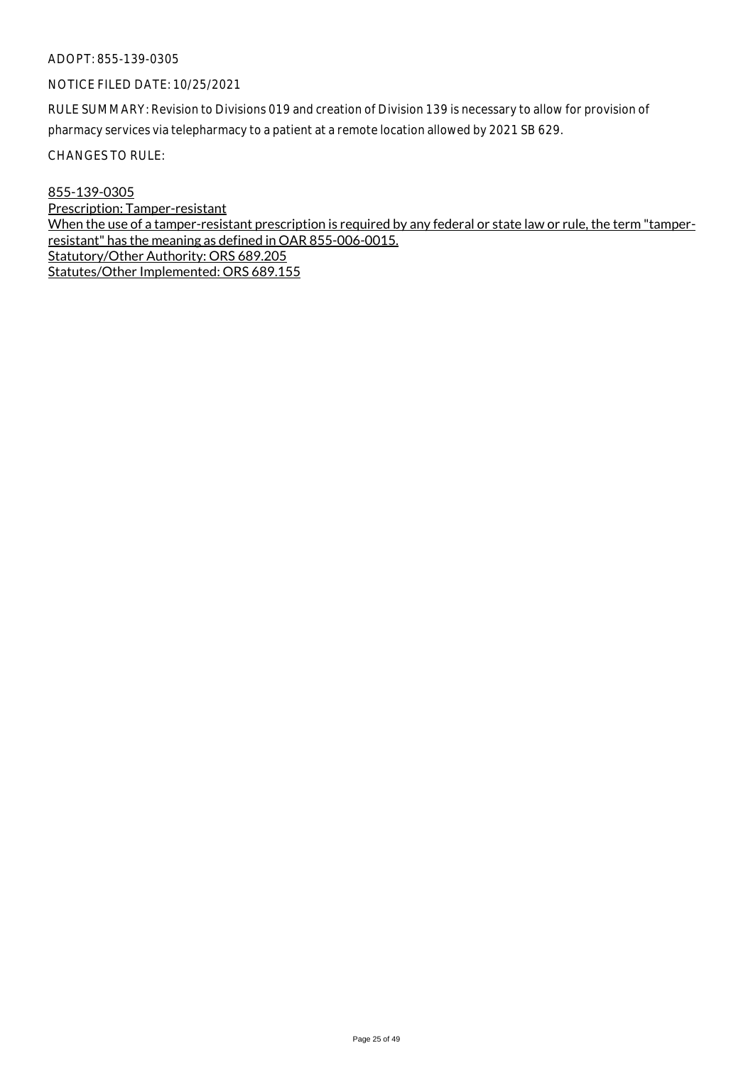# NOTICE FILED DATE: 10/25/2021

RULE SUMMARY: Revision to Divisions 019 and creation of Division 139 is necessary to allow for provision of pharmacy services via telepharmacy to a patient at a remote location allowed by 2021 SB 629.

CHANGES TO RULE:

855-139-0305 Prescription: Tamper-resistant When the use of a tamper-resistant prescription is required by any federal or state law or rule, the term "tamperresistant" has the meaning as defined in OAR 855-006-0015. Statutory/Other Authority: ORS 689.205 Statutes/Other Implemented: ORS 689.155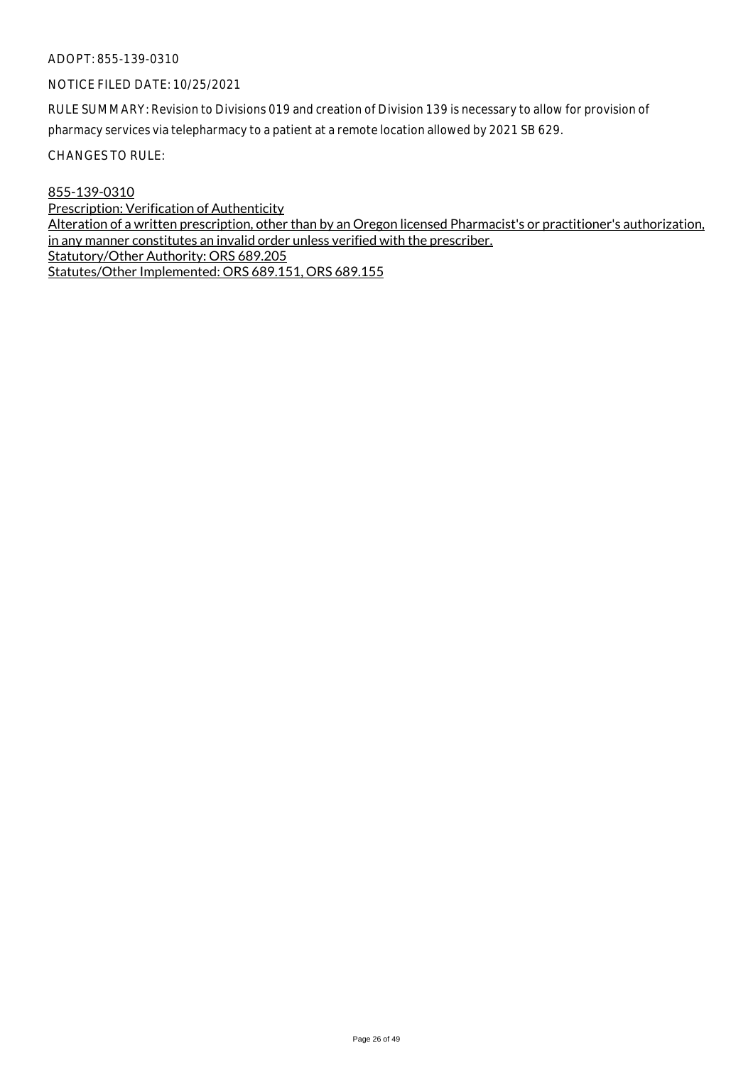# NOTICE FILED DATE: 10/25/2021

RULE SUMMARY: Revision to Divisions 019 and creation of Division 139 is necessary to allow for provision of pharmacy services via telepharmacy to a patient at a remote location allowed by 2021 SB 629.

CHANGES TO RULE:

855-139-0310

Prescription: Verification of Authenticity Alteration of a written prescription, other than by an Oregon licensed Pharmacist's or practitioner's authorization, in any manner constitutes an invalid order unless verified with the prescriber. Statutory/Other Authority: ORS 689.205 Statutes/Other Implemented: ORS 689.151, ORS 689.155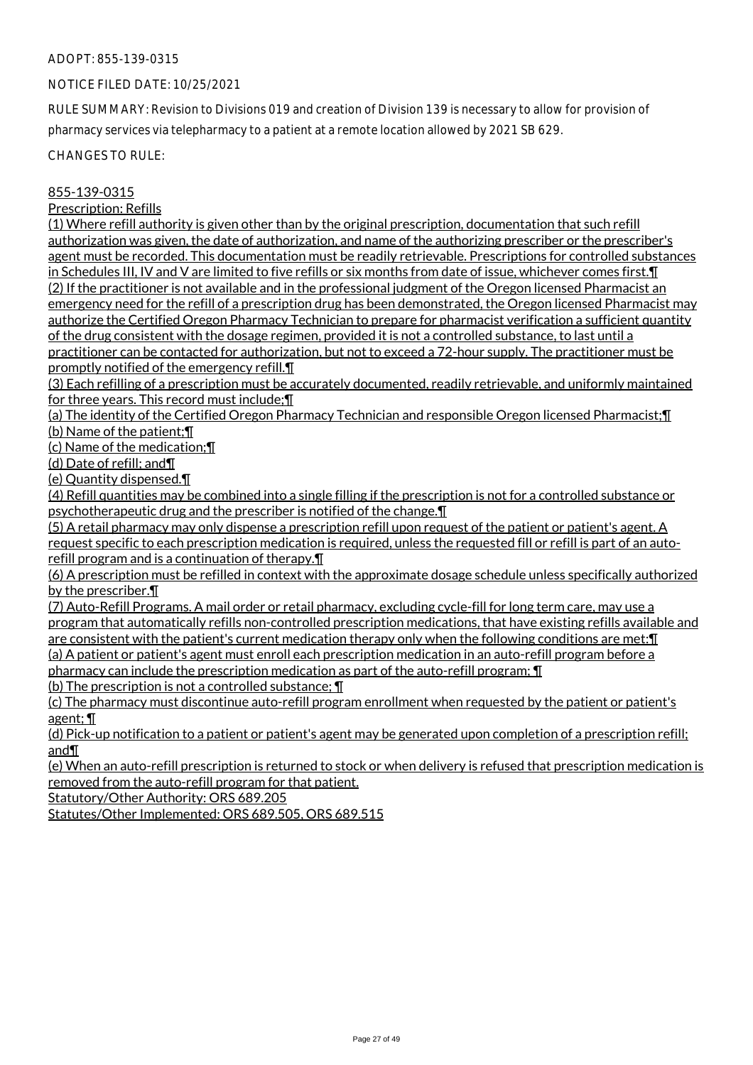# NOTICE FILED DATE: 10/25/2021

RULE SUMMARY: Revision to Divisions 019 and creation of Division 139 is necessary to allow for provision of pharmacy services via telepharmacy to a patient at a remote location allowed by 2021 SB 629.

CHANGES TO RULE:

# 855-139-0315

Prescription: Refills

(1) Where refill authority is given other than by the original prescription, documentation that such refill authorization was given, the date of authorization, and name of the authorizing prescriber or the prescriber's agent must be recorded. This documentation must be readily retrievable. Prescriptions for controlled substances in Schedules III, IV and V are limited to five refills or six months from date of issue, whichever comes first.¶ (2) If the practitioner is not available and in the professional judgment of the Oregon licensed Pharmacist an emergency need for the refill of a prescription drug has been demonstrated, the Oregon licensed Pharmacist may authorize the Certified Oregon Pharmacy Technician to prepare for pharmacist verification a sufficient quantity of the drug consistent with the dosage regimen, provided it is not a controlled substance, to last until a practitioner can be contacted for authorization, but not to exceed a 72-hour supply. The practitioner must be promptly notified of the emergency refill.¶

(3) Each refilling of a prescription must be accurately documented, readily retrievable, and uniformly maintained for three years. This record must include;¶

(a) The identity of the Certified Oregon Pharmacy Technician and responsible Oregon licensed Pharmacist;¶ (b) Name of the patient;¶

(c) Name of the medication;¶

(d) Date of refill; and¶

(e) Quantity dispensed.¶

(4) Refill quantities may be combined into a single filling if the prescription is not for a controlled substance or psychotherapeutic drug and the prescriber is notified of the change.¶

(5) A retail pharmacy may only dispense a prescription refill upon request of the patient or patient's agent. A request specific to each prescription medication is required, unless the requested fill or refill is part of an autorefill program and is a continuation of therapy.¶

(6) A prescription must be refilled in context with the approximate dosage schedule unless specifically authorized by the prescriber.¶

(7) Auto-Refill Programs. A mail order or retail pharmacy, excluding cycle-fill for long term care, may use a program that automatically refills non-controlled prescription medications, that have existing refills available and are consistent with the patient's current medication therapy only when the following conditions are met:¶ (a) A patient or patient's agent must enroll each prescription medication in an auto-refill program before a

pharmacy can include the prescription medication as part of the auto-refill program; ¶

(b) The prescription is not a controlled substance; ¶

(c) The pharmacy must discontinue auto-refill program enrollment when requested by the patient or patient's agent; ¶

(d) Pick-up notification to a patient or patient's agent may be generated upon completion of a prescription refill; and¶

(e) When an auto-refill prescription is returned to stock or when delivery is refused that prescription medication is removed from the auto-refill program for that patient.

Statutory/Other Authority: ORS 689.205

Statutes/Other Implemented: ORS 689.505, ORS 689.515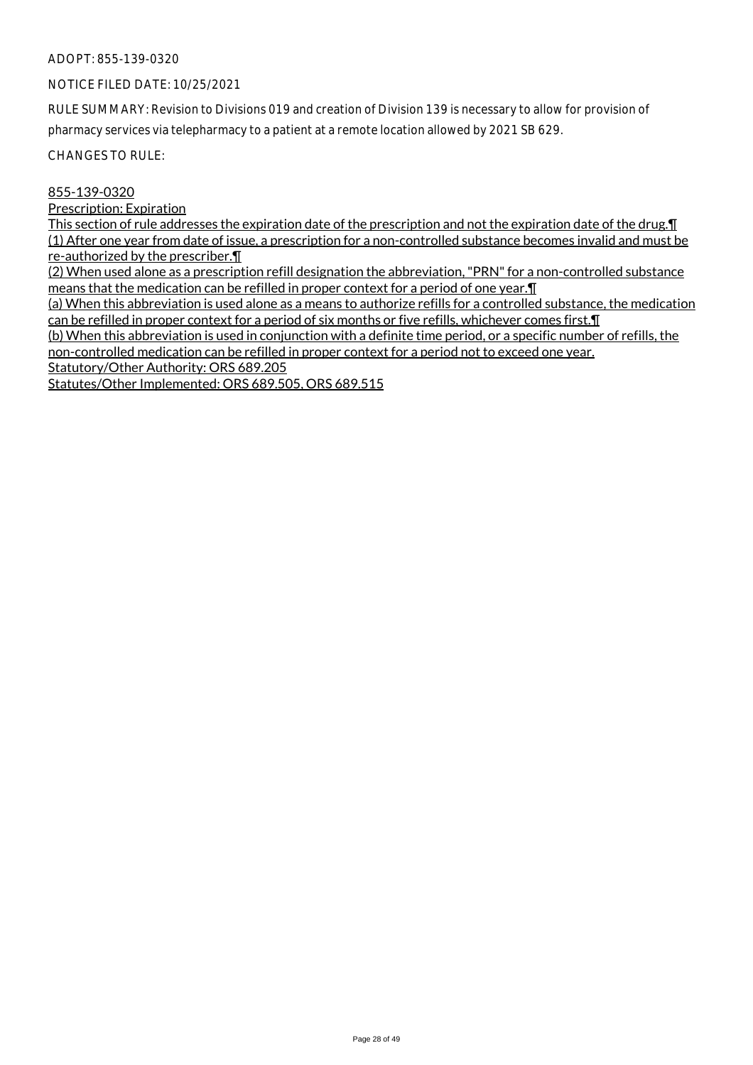# NOTICE FILED DATE: 10/25/2021

RULE SUMMARY: Revision to Divisions 019 and creation of Division 139 is necessary to allow for provision of pharmacy services via telepharmacy to a patient at a remote location allowed by 2021 SB 629.

CHANGES TO RULE:

#### 855-139-0320

Prescription: Expiration

This section of rule addresses the expiration date of the prescription and not the expiration date of the drug.¶ (1) After one year from date of issue, a prescription for a non-controlled substance becomes invalid and must be re-authorized by the prescriber.¶

(2) When used alone as a prescription refill designation the abbreviation, "PRN" for a non-controlled substance means that the medication can be refilled in proper context for a period of one year.¶

(a) When this abbreviation is used alone as a means to authorize refills for a controlled substance, the medication can be refilled in proper context for a period of six months or five refills, whichever comes first. I

(b) When this abbreviation is used in conjunction with a definite time period, or a specific number of refills, the non-controlled medication can be refilled in proper context for a period not to exceed one year.

Statutory/Other Authority: ORS 689.205

Statutes/Other Implemented: ORS 689.505, ORS 689.515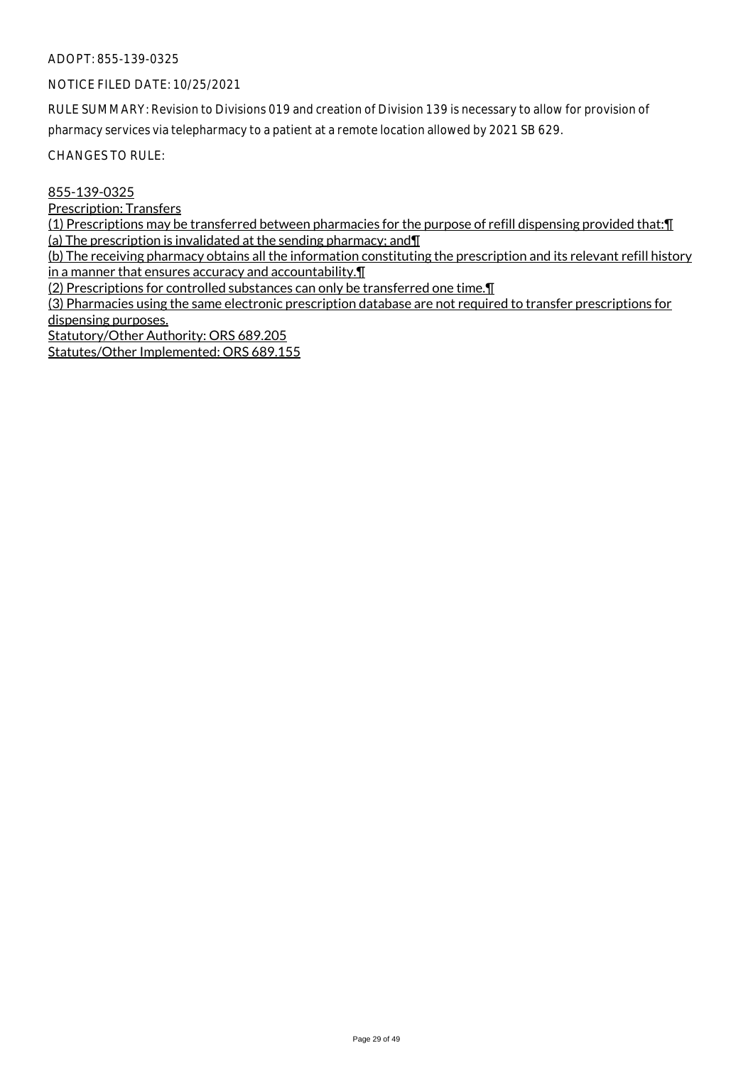#### NOTICE FILED DATE: 10/25/2021

RULE SUMMARY: Revision to Divisions 019 and creation of Division 139 is necessary to allow for provision of pharmacy services via telepharmacy to a patient at a remote location allowed by 2021 SB 629.

CHANGES TO RULE:

#### 855-139-0325

Prescription: Transfers

(1) Prescriptions may be transferred between pharmacies for the purpose of refill dispensing provided that:¶ (a) The prescription is invalidated at the sending pharmacy; and¶

(b) The receiving pharmacy obtains all the information constituting the prescription and its relevant refill history in a manner that ensures accuracy and accountability.¶

(2) Prescriptions for controlled substances can only be transferred one time.¶

(3) Pharmacies using the same electronic prescription database are not required to transfer prescriptions for dispensing purposes.

Statutory/Other Authority: ORS 689.205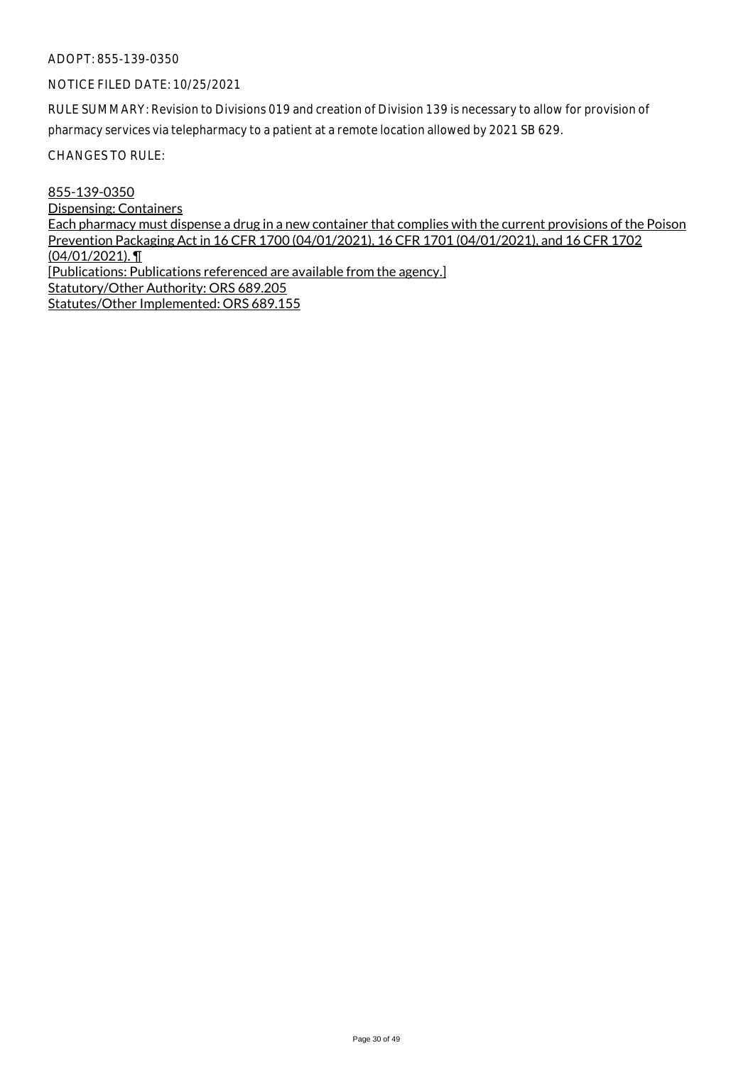#### NOTICE FILED DATE: 10/25/2021

RULE SUMMARY: Revision to Divisions 019 and creation of Division 139 is necessary to allow for provision of pharmacy services via telepharmacy to a patient at a remote location allowed by 2021 SB 629.

CHANGES TO RULE:

855-139-0350 Dispensing: Containers Each pharmacy must dispense a drug in a new container that complies with the current provisions of the Poison Prevention Packaging Act in 16 CFR 1700 (04/01/2021), 16 CFR 1701 (04/01/2021), and 16 CFR 1702 (04/01/2021). ¶ [Publications: Publications referenced are available from the agency.] Statutory/Other Authority: ORS 689.205 Statutes/Other Implemented: ORS 689.155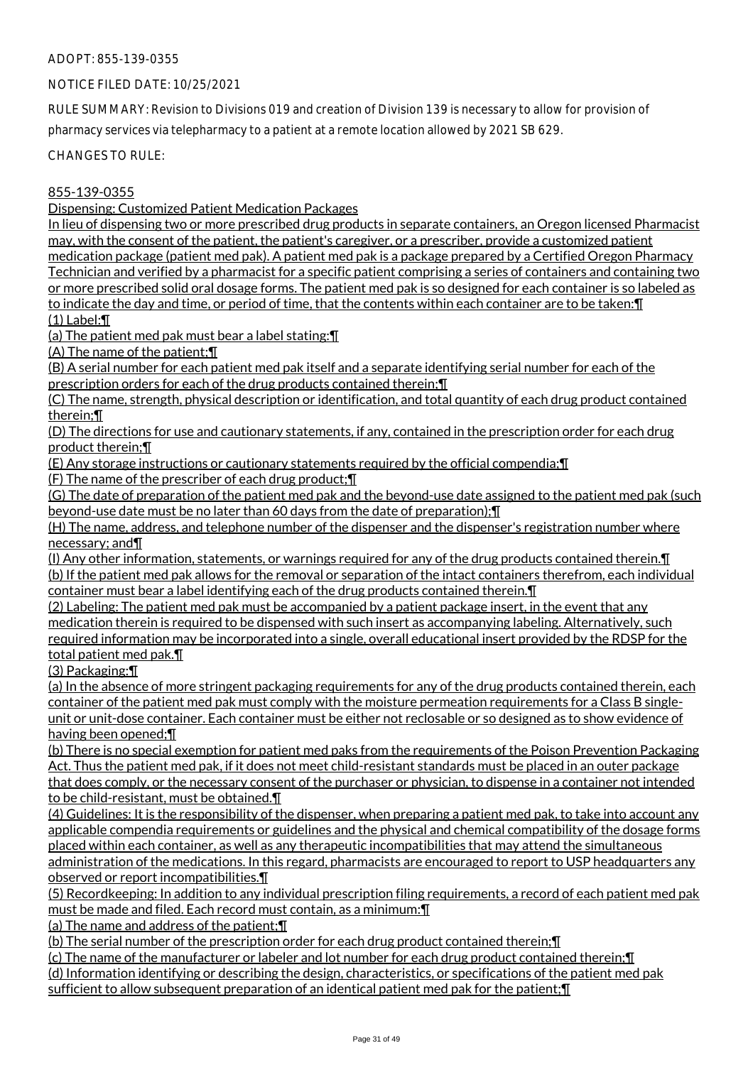# NOTICE FILED DATE: 10/25/2021

RULE SUMMARY: Revision to Divisions 019 and creation of Division 139 is necessary to allow for provision of pharmacy services via telepharmacy to a patient at a remote location allowed by 2021 SB 629.

CHANGES TO RULE:

855-139-0355

Dispensing: Customized Patient Medication Packages

In lieu of dispensing two or more prescribed drug products in separate containers, an Oregon licensed Pharmacist may, with the consent of the patient, the patient's caregiver, or a prescriber, provide a customized patient medication package (patient med pak). A patient med pak is a package prepared by a Certified Oregon Pharmacy Technician and verified by a pharmacist for a specific patient comprising a series of containers and containing two or more prescribed solid oral dosage forms. The patient med pak is so designed for each container is so labeled as to indicate the day and time, or period of time, that the contents within each container are to be taken:¶ (1) Label:¶

(a) The patient med pak must bear a label stating:¶

(A) The name of the patient;¶

(B) A serial number for each patient med pak itself and a separate identifying serial number for each of the prescription orders for each of the drug products contained therein;¶

(C) The name, strength, physical description or identification, and total quantity of each drug product contained therein;¶

(D) The directions for use and cautionary statements, if any, contained in the prescription order for each drug product therein;¶

(E) Any storage instructions or cautionary statements required by the official compendia;¶

(F) The name of the prescriber of each drug product;¶

(G) The date of preparation of the patient med pak and the beyond-use date assigned to the patient med pak (such beyond-use date must be no later than 60 days from the date of preparation);¶

(H) The name, address, and telephone number of the dispenser and the dispenser's registration number where necessary; and¶

(I) Any other information, statements, or warnings required for any of the drug products contained therein.¶ (b) If the patient med pak allows for the removal or separation of the intact containers therefrom, each individual container must bear a label identifying each of the drug products contained therein.¶

(2) Labeling: The patient med pak must be accompanied by a patient package insert, in the event that any medication therein is required to be dispensed with such insert as accompanying labeling. Alternatively, such required information may be incorporated into a single, overall educational insert provided by the RDSP for the total patient med pak.¶

(3) Packaging:¶

(a) In the absence of more stringent packaging requirements for any of the drug products contained therein, each container of the patient med pak must comply with the moisture permeation requirements for a Class B singleunit or unit-dose container. Each container must be either not reclosable or so designed as to show evidence of having been opened;¶

(b) There is no special exemption for patient med paks from the requirements of the Poison Prevention Packaging Act. Thus the patient med pak, if it does not meet child-resistant standards must be placed in an outer package that does comply, or the necessary consent of the purchaser or physician, to dispense in a container not intended to be child-resistant, must be obtained.¶

(4) Guidelines: It is the responsibility of the dispenser, when preparing a patient med pak, to take into account any applicable compendia requirements or guidelines and the physical and chemical compatibility of the dosage forms placed within each container, as well as any therapeutic incompatibilities that may attend the simultaneous administration of the medications. In this regard, pharmacists are encouraged to report to USP headquarters any observed or report incompatibilities.¶

(5) Recordkeeping: In addition to any individual prescription filing requirements, a record of each patient med pak must be made and filed. Each record must contain, as a minimum:¶

(a) The name and address of the patient;¶

(b) The serial number of the prescription order for each drug product contained therein;¶

(c) The name of the manufacturer or labeler and lot number for each drug product contained therein;¶ (d) Information identifying or describing the design, characteristics, or specifications of the patient med pak sufficient to allow subsequent preparation of an identical patient med pak for the patient;¶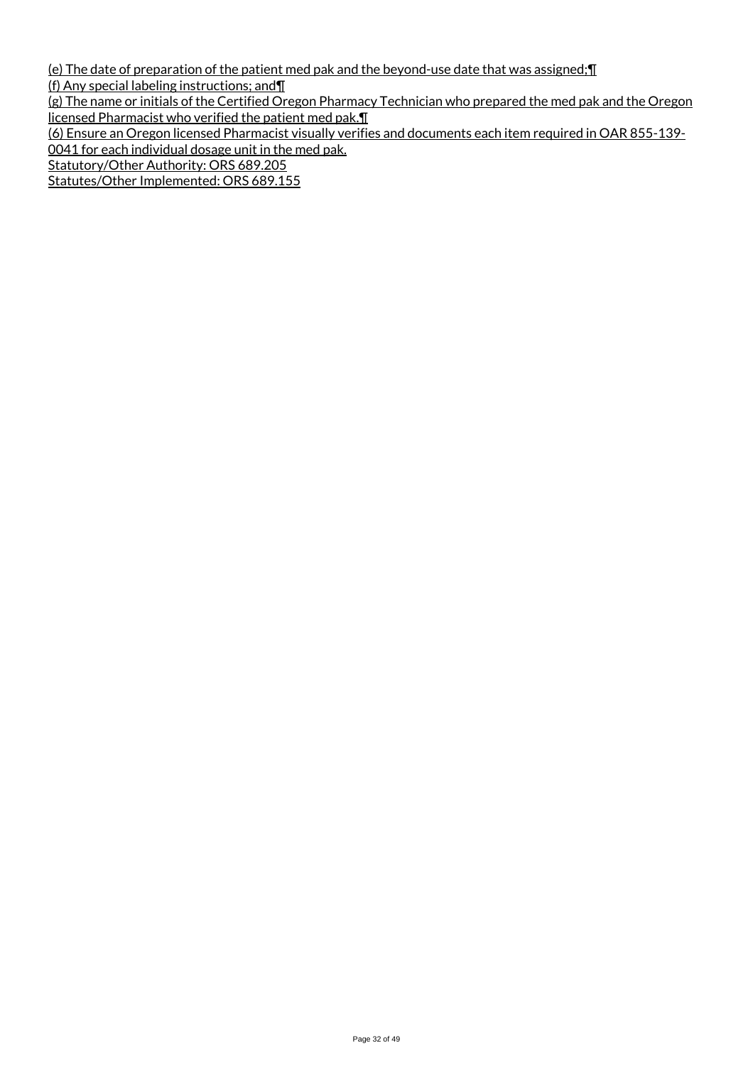(e) The date of preparation of the patient med pak and the beyond-use date that was assigned;¶

(f) Any special labeling instructions; and¶

(g) The name or initials of the Certified Oregon Pharmacy Technician who prepared the med pak and the Oregon licensed Pharmacist who verified the patient med pak.¶

(6) Ensure an Oregon licensed Pharmacist visually verifies and documents each item required in OAR 855-139- 0041 for each individual dosage unit in the med pak.

Statutory/Other Authority: ORS 689.205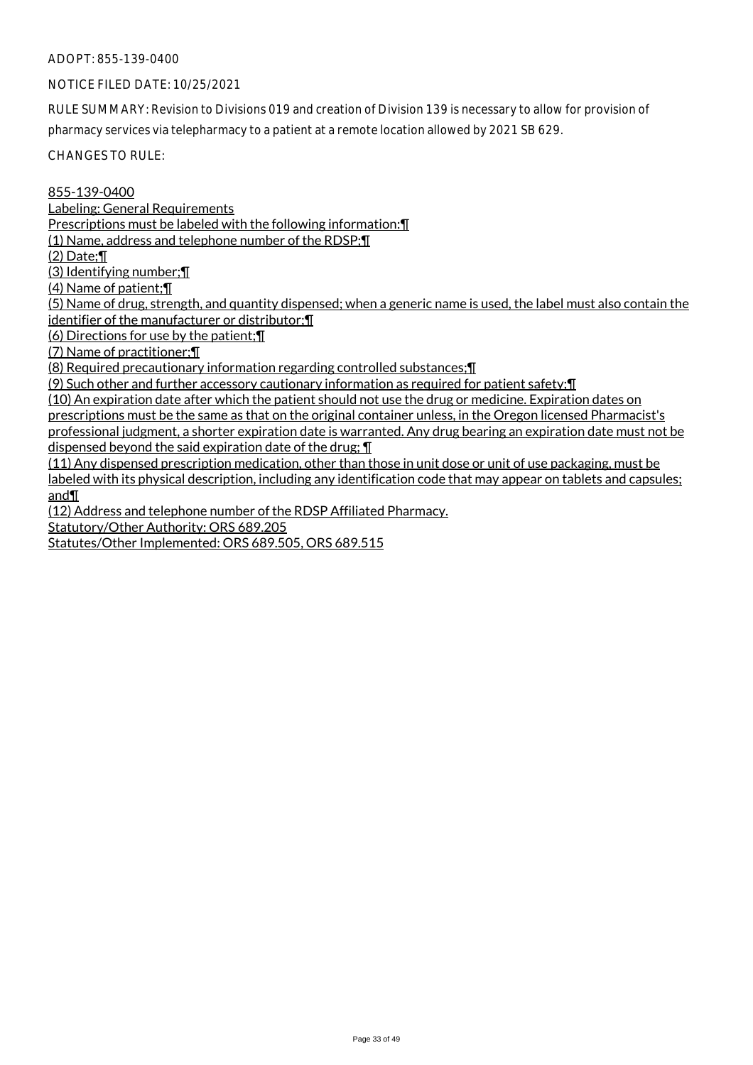# NOTICE FILED DATE: 10/25/2021

RULE SUMMARY: Revision to Divisions 019 and creation of Division 139 is necessary to allow for provision of pharmacy services via telepharmacy to a patient at a remote location allowed by 2021 SB 629.

CHANGES TO RULE:

855-139-0400 Labeling: General Requirements Prescriptions must be labeled with the following information:¶ (1) Name, address and telephone number of the RDSP;¶ (2) Date;¶ (3) Identifying number;¶ (4) Name of patient;¶ (5) Name of drug, strength, and quantity dispensed; when a generic name is used, the label must also contain the identifier of the manufacturer or distributor;¶ (6) Directions for use by the patient;¶ (7) Name of practitioner;¶ (8) Required precautionary information regarding controlled substances;¶ (9) Such other and further accessory cautionary information as required for patient safety;¶

(10) An expiration date after which the patient should not use the drug or medicine. Expiration dates on prescriptions must be the same as that on the original container unless, in the Oregon licensed Pharmacist's professional judgment, a shorter expiration date is warranted. Any drug bearing an expiration date must not be dispensed beyond the said expiration date of the drug; ¶

(11) Any dispensed prescription medication, other than those in unit dose or unit of use packaging, must be labeled with its physical description, including any identification code that may appear on tablets and capsules; and¶

(12) Address and telephone number of the RDSP Affiliated Pharmacy.

Statutory/Other Authority: ORS 689.205

Statutes/Other Implemented: ORS 689.505, ORS 689.515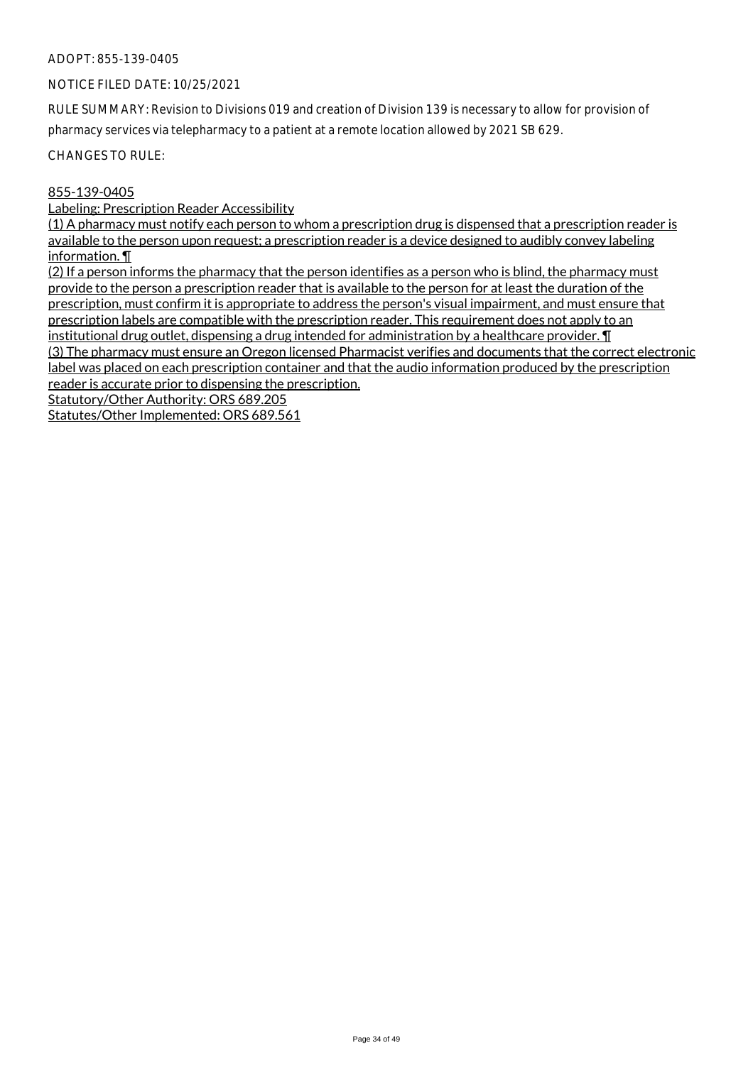#### NOTICE FILED DATE: 10/25/2021

RULE SUMMARY: Revision to Divisions 019 and creation of Division 139 is necessary to allow for provision of pharmacy services via telepharmacy to a patient at a remote location allowed by 2021 SB 629.

CHANGES TO RULE:

#### 855-139-0405

Labeling: Prescription Reader Accessibility

(1) A pharmacy must notify each person to whom a prescription drug is dispensed that a prescription reader is available to the person upon request; a prescription reader is a device designed to audibly convey labeling information. ¶

(2) If a person informs the pharmacy that the person identifies as a person who is blind, the pharmacy must provide to the person a prescription reader that is available to the person for at least the duration of the prescription, must confirm it is appropriate to address the person's visual impairment, and must ensure that prescription labels are compatible with the prescription reader. This requirement does not apply to an institutional drug outlet, dispensing a drug intended for administration by a healthcare provider. I (3) The pharmacy must ensure an Oregon licensed Pharmacist verifies and documents that the correct electronic label was placed on each prescription container and that the audio information produced by the prescription reader is accurate prior to dispensing the prescription.

Statutory/Other Authority: ORS 689.205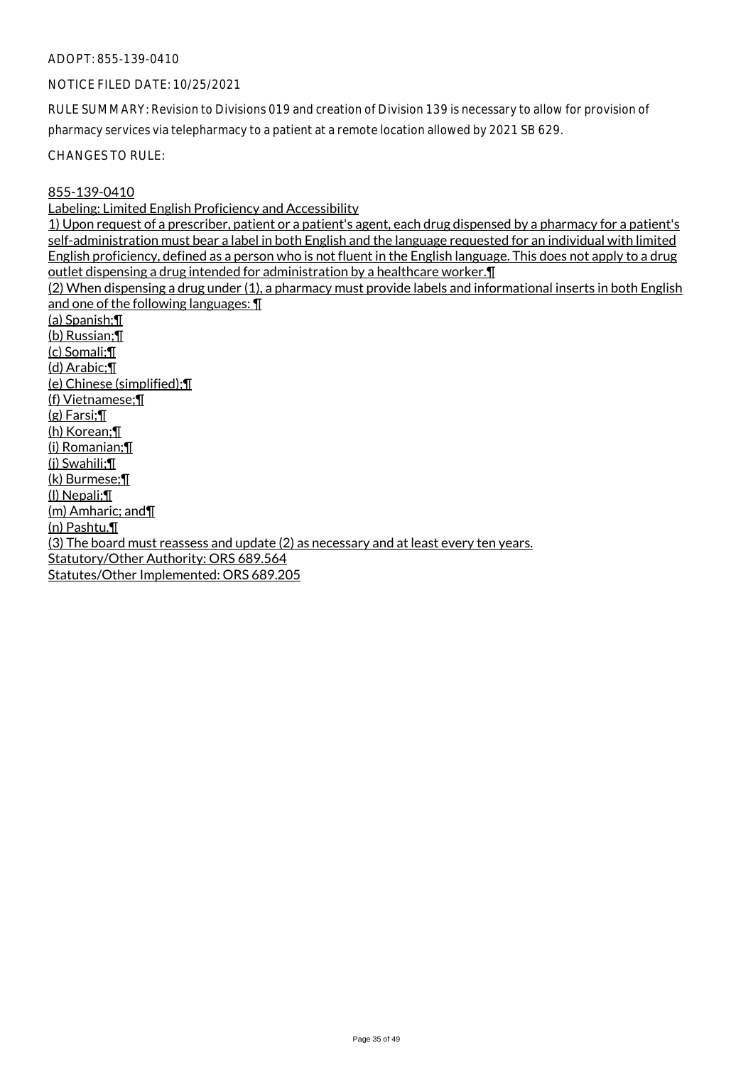#### NOTICE FILED DATE: 10/25/2021

RULE SUMMARY: Revision to Divisions 019 and creation of Division 139 is necessary to allow for provision of pharmacy services via telepharmacy to a patient at a remote location allowed by 2021 SB 629.

CHANGES TO RULE:

#### 855-139-0410

Labeling: Limited English Proficiency and Accessibility

1) Upon request of a prescriber, patient or a patient's agent, each drug dispensed by a pharmacy for a patient's self-administration must bear a label in both English and the language requested for an individual with limited English proficiency, defined as a person who is not fluent in the English language. This does not apply to a drug outlet dispensing a drug intended for administration by a healthcare worker.¶

(2) When dispensing a drug under (1), a pharmacy must provide labels and informational inserts in both English and one of the following languages: ¶

(a) Spanish;¶ (b) Russian;¶ (c) Somali;¶ (d) Arabic;¶ (e) Chinese (simplified);¶ (f) Vietnamese;¶ (g) Farsi;¶ (h) Korean;¶ (i) Romanian;¶ (j) Swahili;¶ (k) Burmese;¶ (l) Nepali;¶ (m) Amharic; and¶ (n) Pashtu.¶ (3) The board must reassess and update (2) as necessary and at least every ten years. Statutory/Other Authority: ORS 689.564 Statutes/Other Implemented: ORS 689.205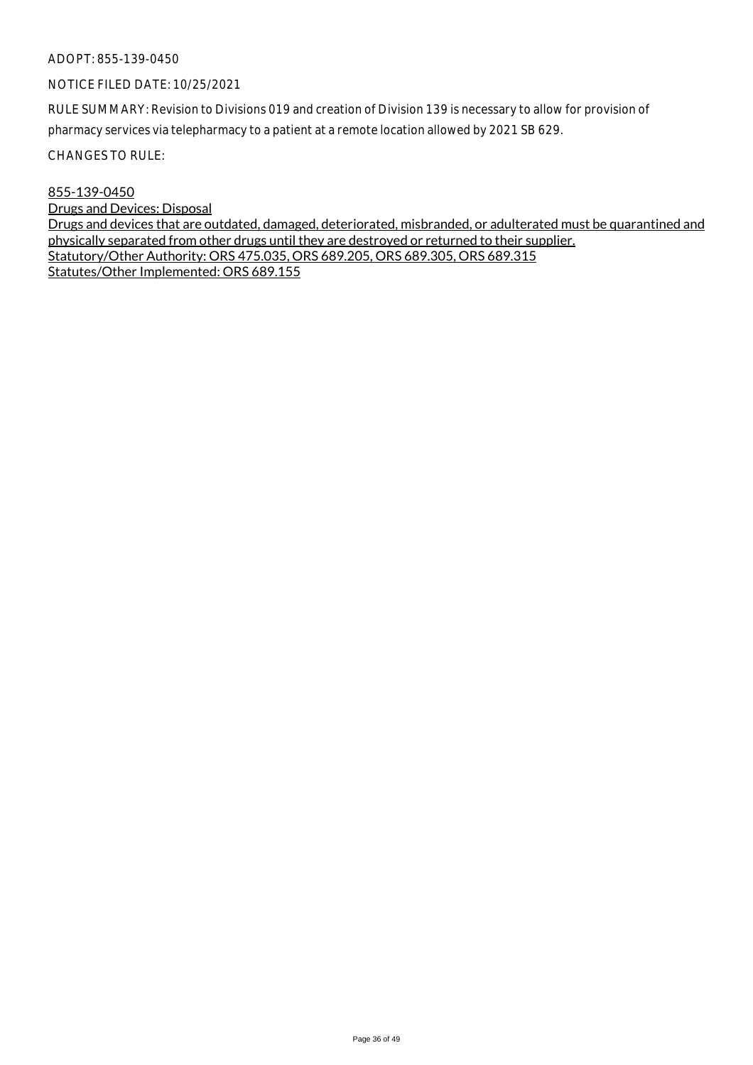#### NOTICE FILED DATE: 10/25/2021

RULE SUMMARY: Revision to Divisions 019 and creation of Division 139 is necessary to allow for provision of pharmacy services via telepharmacy to a patient at a remote location allowed by 2021 SB 629.

CHANGES TO RULE:

855-139-0450 Drugs and Devices: Disposal Drugs and devices that are outdated, damaged, deteriorated, misbranded, or adulterated must be quarantined and physically separated from other drugs until they are destroyed or returned to their supplier. Statutory/Other Authority: ORS 475.035, ORS 689.205, ORS 689.305, ORS 689.315 Statutes/Other Implemented: ORS 689.155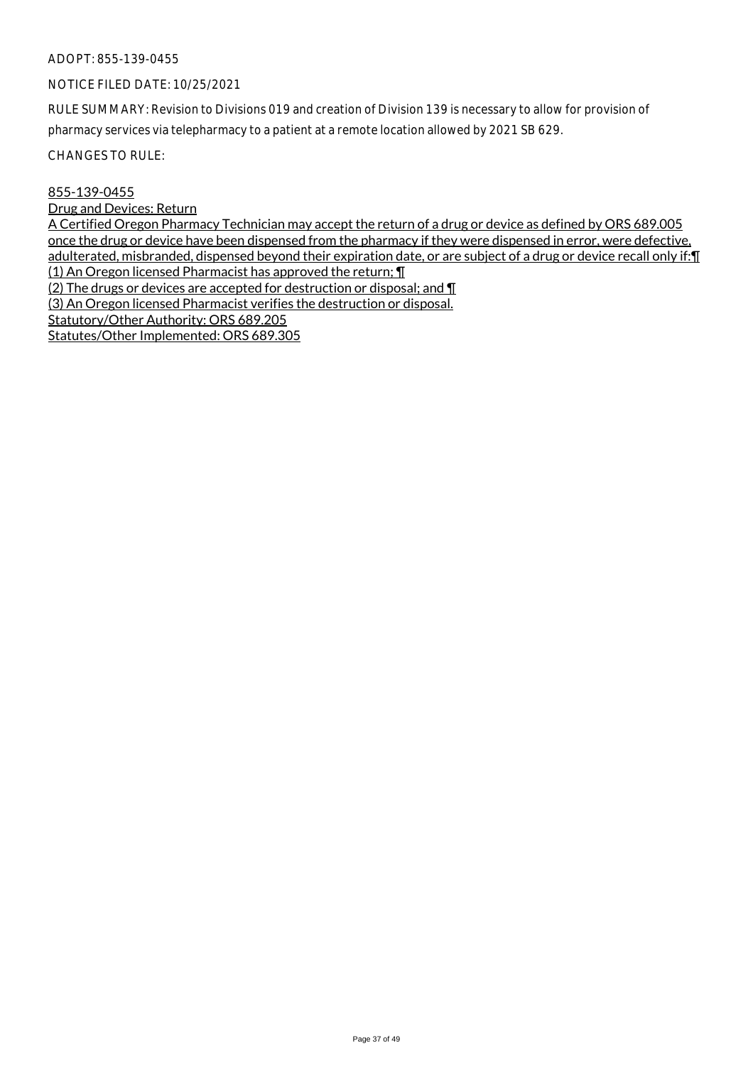# NOTICE FILED DATE: 10/25/2021

RULE SUMMARY: Revision to Divisions 019 and creation of Division 139 is necessary to allow for provision of pharmacy services via telepharmacy to a patient at a remote location allowed by 2021 SB 629.

CHANGES TO RULE:

#### 855-139-0455

Drug and Devices: Return

A Certified Oregon Pharmacy Technician may accept the return of a drug or device as defined by ORS 689.005 once the drug or device have been dispensed from the pharmacy if they were dispensed in error, were defective, adulterated, misbranded, dispensed beyond their expiration date, or are subject of a drug or device recall only if: [[ (1) An Oregon licensed Pharmacist has approved the return; ¶ (2) The drugs or devices are accepted for destruction or disposal; and ¶ (3) An Oregon licensed Pharmacist verifies the destruction or disposal. Statutory/Other Authority: ORS 689.205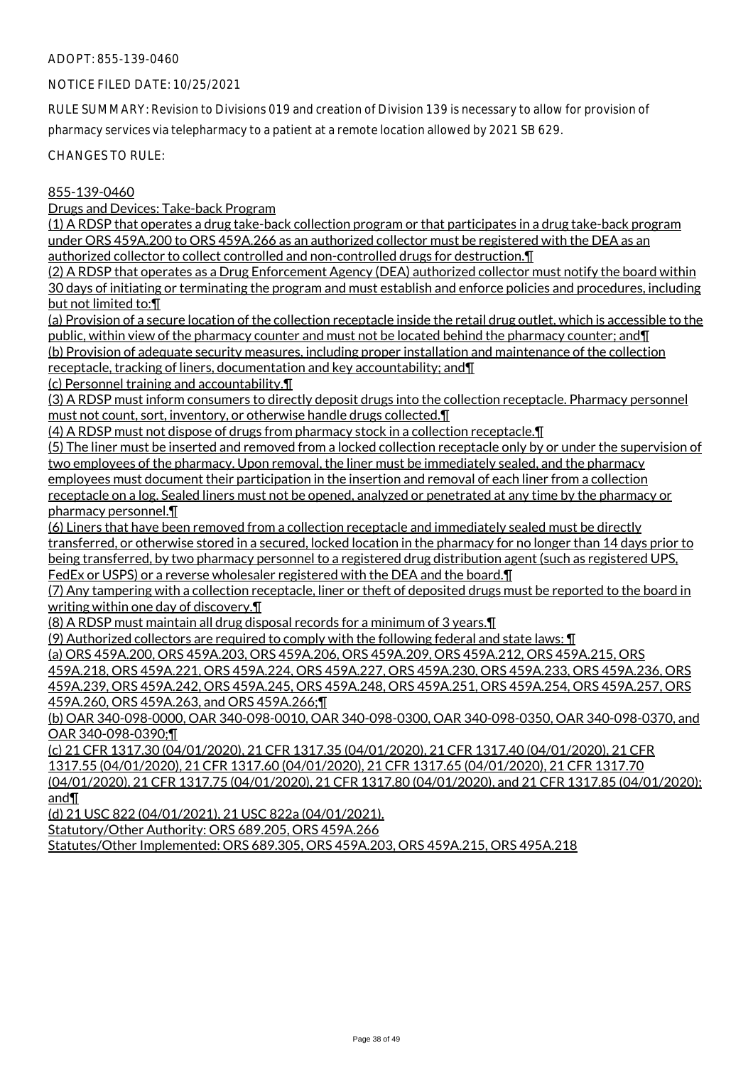#### NOTICE FILED DATE: 10/25/2021

RULE SUMMARY: Revision to Divisions 019 and creation of Division 139 is necessary to allow for provision of pharmacy services via telepharmacy to a patient at a remote location allowed by 2021 SB 629.

CHANGES TO RULE:

#### 855-139-0460

Drugs and Devices: Take-back Program

(1) A RDSP that operates a drug take-back collection program or that participates in a drug take-back program under ORS 459A.200 to ORS 459A.266 as an authorized collector must be registered with the DEA as an authorized collector to collect controlled and non-controlled drugs for destruction.¶

(2) A RDSP that operates as a Drug Enforcement Agency (DEA) authorized collector must notify the board within 30 days of initiating or terminating the program and must establish and enforce policies and procedures, including but not limited to:¶

(a) Provision of a secure location of the collection receptacle inside the retail drug outlet, which is accessible to the public, within view of the pharmacy counter and must not be located behind the pharmacy counter; and II (b) Provision of adequate security measures, including proper installation and maintenance of the collection

receptacle, tracking of liners, documentation and key accountability; and¶

(c) Personnel training and accountability.¶

(3) A RDSP must inform consumers to directly deposit drugs into the collection receptacle. Pharmacy personnel must not count, sort, inventory, or otherwise handle drugs collected.¶

(4) A RDSP must not dispose of drugs from pharmacy stock in a collection receptacle.¶

(5) The liner must be inserted and removed from a locked collection receptacle only by or under the supervision of two employees of the pharmacy. Upon removal, the liner must be immediately sealed, and the pharmacy employees must document their participation in the insertion and removal of each liner from a collection receptacle on a log. Sealed liners must not be opened, analyzed or penetrated at any time by the pharmacy or pharmacy personnel.¶

(6) Liners that have been removed from a collection receptacle and immediately sealed must be directly transferred, or otherwise stored in a secured, locked location in the pharmacy for no longer than 14 days prior to being transferred, by two pharmacy personnel to a registered drug distribution agent (such as registered UPS, FedEx or USPS) or a reverse wholesaler registered with the DEA and the board.¶

(7) Any tampering with a collection receptacle, liner or theft of deposited drugs must be reported to the board in writing within one day of discovery.¶

(8) A RDSP must maintain all drug disposal records for a minimum of 3 years.¶

(9) Authorized collectors are required to comply with the following federal and state laws: ¶

(a) ORS 459A.200, ORS 459A.203, ORS 459A.206, ORS 459A.209, ORS 459A.212, ORS 459A.215, ORS 459A.218, ORS 459A.221, ORS 459A.224, ORS 459A.227, ORS 459A.230, ORS 459A.233, ORS 459A.236, ORS 459A.239, ORS 459A.242, ORS 459A.245, ORS 459A.248, ORS 459A.251, ORS 459A.254, ORS 459A.257, ORS 459A.260, ORS 459A.263, and ORS 459A.266;¶

(b) OAR 340-098-0000, OAR 340-098-0010, OAR 340-098-0300, OAR 340-098-0350, OAR 340-098-0370, and OAR 340-098-0390;¶

(c) 21 CFR 1317.30 (04/01/2020), 21 CFR 1317.35 (04/01/2020), 21 CFR 1317.40 (04/01/2020), 21 CFR 1317.55 (04/01/2020), 21 CFR 1317.60 (04/01/2020), 21 CFR 1317.65 (04/01/2020), 21 CFR 1317.70 (04/01/2020), 21 CFR 1317.75 (04/01/2020), 21 CFR 1317.80 (04/01/2020), and 21 CFR 1317.85 (04/01/2020); and¶

(d) 21 USC 822 (04/01/2021), 21 USC 822a (04/01/2021).

Statutory/Other Authority: ORS 689.205, ORS 459A.266

Statutes/Other Implemented: ORS 689.305, ORS 459A.203, ORS 459A.215, ORS 495A.218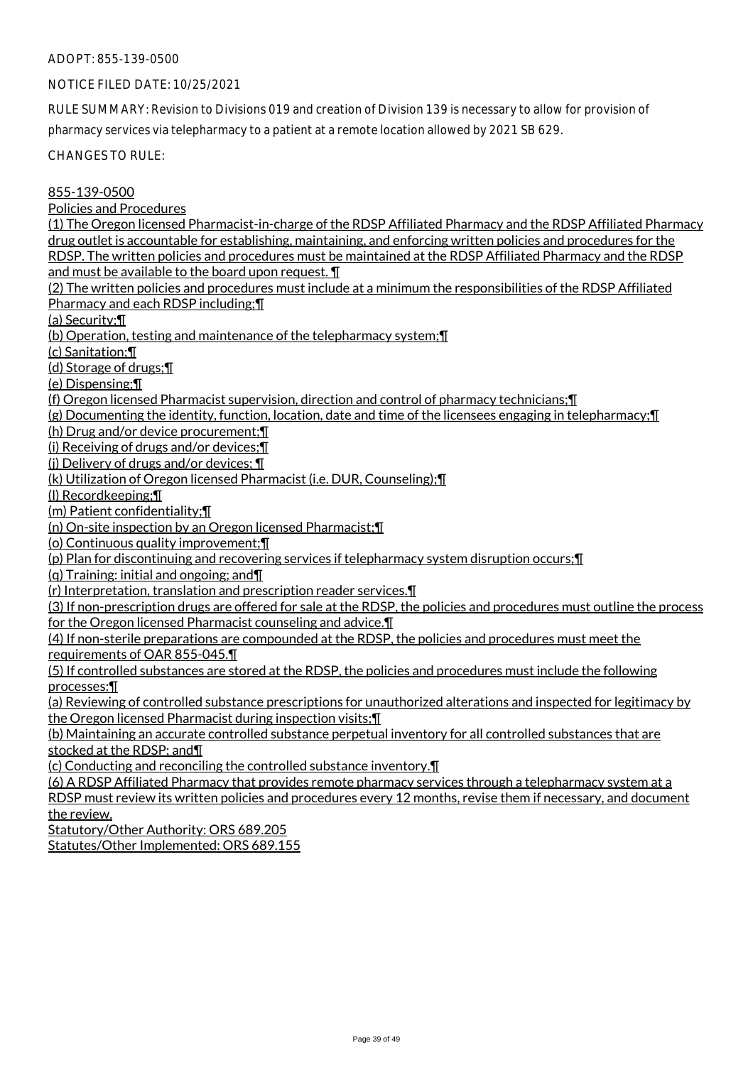# NOTICE FILED DATE: 10/25/2021

RULE SUMMARY: Revision to Divisions 019 and creation of Division 139 is necessary to allow for provision of pharmacy services via telepharmacy to a patient at a remote location allowed by 2021 SB 629.

CHANGES TO RULE:

# 855-139-0500

Policies and Procedures

(1) The Oregon licensed Pharmacist-in-charge of the RDSP Affiliated Pharmacy and the RDSP Affiliated Pharmacy drug outlet is accountable for establishing, maintaining, and enforcing written policies and procedures for the RDSP. The written policies and procedures must be maintained at the RDSP Affiliated Pharmacy and the RDSP and must be available to the board upon request. ¶

(2) The written policies and procedures must include at a minimum the responsibilities of the RDSP Affiliated Pharmacy and each RDSP including;¶

(a) Security;¶

(b) Operation, testing and maintenance of the telepharmacy system;¶

(c) Sanitation;¶

(d) Storage of drugs;¶

(e) Dispensing;¶

(f) Oregon licensed Pharmacist supervision, direction and control of pharmacy technicians;¶

(g) Documenting the identity, function, location, date and time of the licensees engaging in telepharmacy;¶

(h) Drug and/or device procurement;¶

(i) Receiving of drugs and/or devices;¶

(j) Delivery of drugs and/or devices; ¶

(k) Utilization of Oregon licensed Pharmacist (i.e. DUR, Counseling);¶

(l) Recordkeeping;¶

(m) Patient confidentiality;¶

(n) On-site inspection by an Oregon licensed Pharmacist;¶

(o) Continuous quality improvement;¶

(p) Plan for discontinuing and recovering services if telepharmacy system disruption occurs;¶

(q) Training: initial and ongoing; and¶

(r) Interpretation, translation and prescription reader services.¶

(3) If non-prescription drugs are offered for sale at the RDSP, the policies and procedures must outline the process for the Oregon licensed Pharmacist counseling and advice.¶

(4) If non-sterile preparations are compounded at the RDSP, the policies and procedures must meet the requirements of OAR 855-045.¶

(5) If controlled substances are stored at the RDSP, the policies and procedures must include the following processes:¶

(a) Reviewing of controlled substance prescriptions for unauthorized alterations and inspected for legitimacy by the Oregon licensed Pharmacist during inspection visits;¶

(b) Maintaining an accurate controlled substance perpetual inventory for all controlled substances that are stocked at the RDSP; and¶

(c) Conducting and reconciling the controlled substance inventory.¶

(6) A RDSP Affiliated Pharmacy that provides remote pharmacy services through a telepharmacy system at a RDSP must review its written policies and procedures every 12 months, revise them if necessary, and document the review.

Statutory/Other Authority: ORS 689.205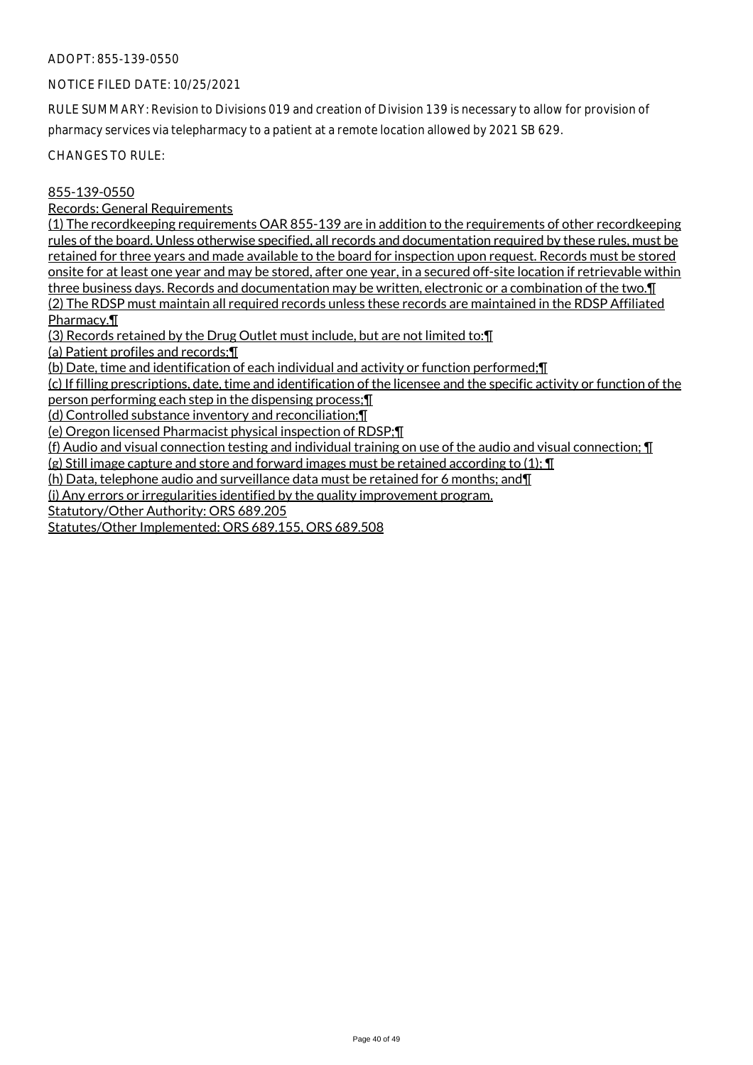# NOTICE FILED DATE: 10/25/2021

RULE SUMMARY: Revision to Divisions 019 and creation of Division 139 is necessary to allow for provision of pharmacy services via telepharmacy to a patient at a remote location allowed by 2021 SB 629.

CHANGES TO RULE:

# 855-139-0550

Records: General Requirements

(1) The recordkeeping requirements OAR 855-139 are in addition to the requirements of other recordkeeping rules of the board. Unless otherwise specified, all records and documentation required by these rules, must be retained for three years and made available to the board for inspection upon request. Records must be stored onsite for at least one year and may be stored, after one year, in a secured off-site location if retrievable within three business days. Records and documentation may be written, electronic or a combination of the two.¶ (2) The RDSP must maintain all required records unless these records are maintained in the RDSP Affiliated Pharmacy.¶

(3) Records retained by the Drug Outlet must include, but are not limited to:¶

(a) Patient profiles and records;¶

(b) Date, time and identification of each individual and activity or function performed;¶

(c) If filling prescriptions, date, time and identification of the licensee and the specific activity or function of the person performing each step in the dispensing process;¶

(d) Controlled substance inventory and reconciliation;¶

(e) Oregon licensed Pharmacist physical inspection of RDSP;¶

(f) Audio and visual connection testing and individual training on use of the audio and visual connection; ¶

(g) Still image capture and store and forward images must be retained according to  $(1)$ ;  $\P$ 

(h) Data, telephone audio and surveillance data must be retained for 6 months; and¶

(i) Any errors or irregularities identified by the quality improvement program.

Statutory/Other Authority: ORS 689.205

Statutes/Other Implemented: ORS 689.155, ORS 689.508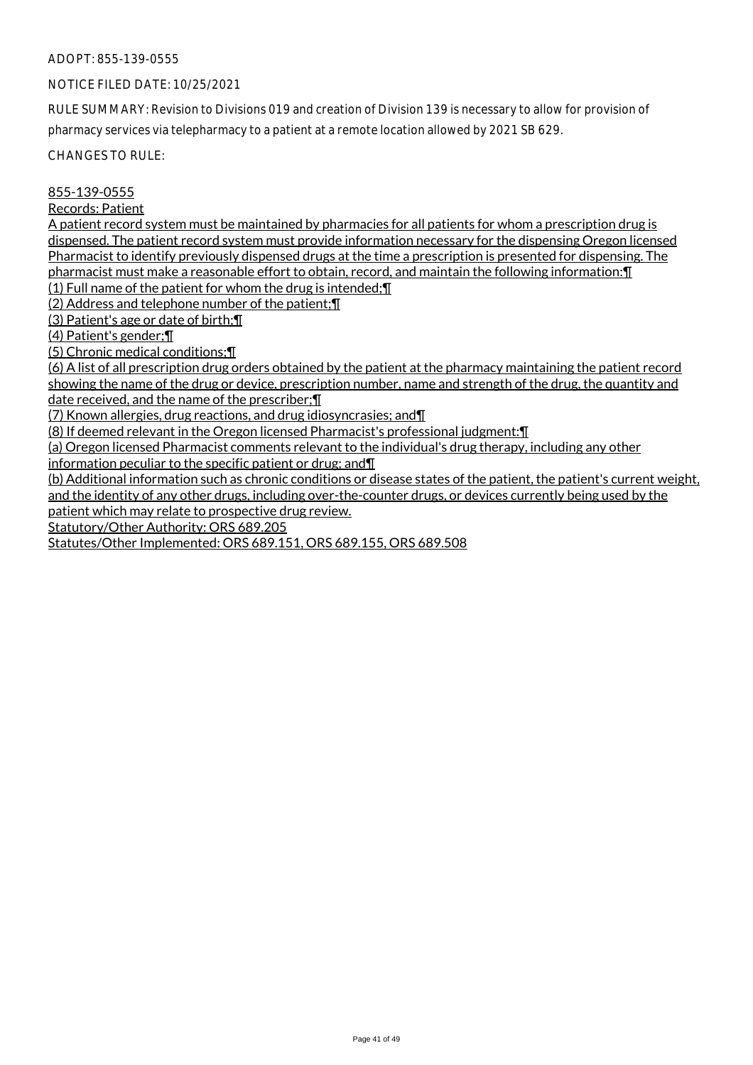# NOTICE FILED DATE: 10/25/2021

RULE SUMMARY: Revision to Divisions 019 and creation of Division 139 is necessary to allow for provision of pharmacy services via telepharmacy to a patient at a remote location allowed by 2021 SB 629.

CHANGES TO RULE:

# 855-139-0555

#### Records: Patient

A patient record system must be maintained by pharmacies for all patients for whom a prescription drug is dispensed. The patient record system must provide information necessary for the dispensing Oregon licensed Pharmacist to identify previously dispensed drugs at the time a prescription is presented for dispensing. The pharmacist must make a reasonable effort to obtain, record, and maintain the following information:¶

(1) Full name of the patient for whom the drug is intended;¶

(2) Address and telephone number of the patient;¶

(3) Patient's age or date of birth;¶

(4) Patient's gender;¶

(5) Chronic medical conditions;¶

(6) A list of all prescription drug orders obtained by the patient at the pharmacy maintaining the patient record showing the name of the drug or device, prescription number, name and strength of the drug, the quantity and date received, and the name of the prescriber;¶

(7) Known allergies, drug reactions, and drug idiosyncrasies; and¶

(8) If deemed relevant in the Oregon licensed Pharmacist's professional judgment:¶

(a) Oregon licensed Pharmacist comments relevant to the individual's drug therapy, including any other

information peculiar to the specific patient or drug; and¶

(b) Additional information such as chronic conditions or disease states of the patient, the patient's current weight, and the identity of any other drugs, including over-the-counter drugs, or devices currently being used by the

patient which may relate to prospective drug review.

Statutory/Other Authority: ORS 689.205

Statutes/Other Implemented: ORS 689.151, ORS 689.155, ORS 689.508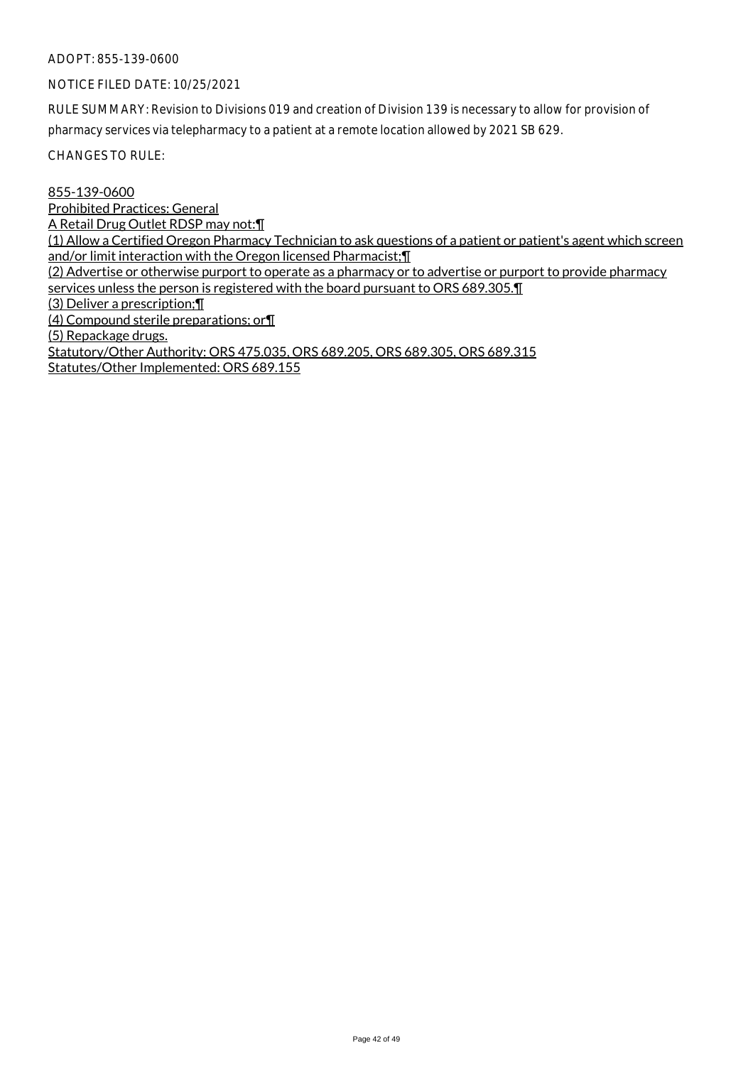#### NOTICE FILED DATE: 10/25/2021

RULE SUMMARY: Revision to Divisions 019 and creation of Division 139 is necessary to allow for provision of pharmacy services via telepharmacy to a patient at a remote location allowed by 2021 SB 629.

CHANGES TO RULE:

855-139-0600 Prohibited Practices: General A Retail Drug Outlet RDSP may not:¶ (1) Allow a Certified Oregon Pharmacy Technician to ask questions of a patient or patient's agent which screen and/or limit interaction with the Oregon licensed Pharmacist;¶ (2) Advertise or otherwise purport to operate as a pharmacy or to advertise or purport to provide pharmacy services unless the person is registered with the board pursuant to ORS 689.305. (3) Deliver a prescription;¶ (4) Compound sterile preparations; or¶ (5) Repackage drugs. Statutory/Other Authority: ORS 475.035, ORS 689.205, ORS 689.305, ORS 689.315 Statutes/Other Implemented: ORS 689.155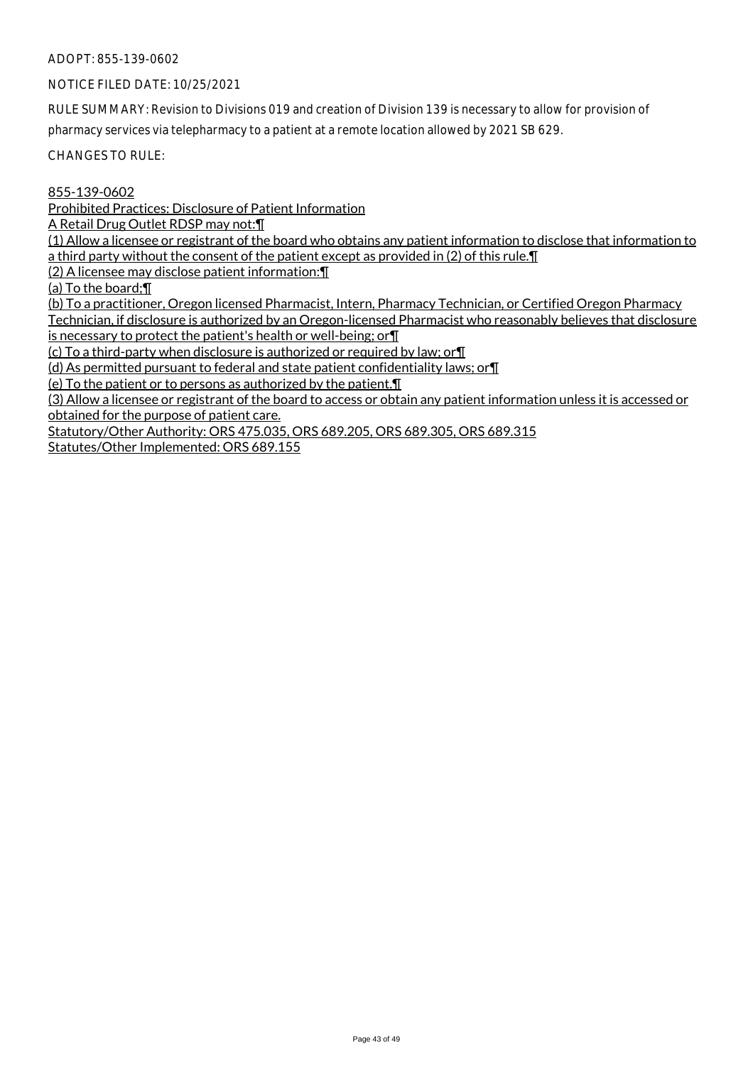# NOTICE FILED DATE: 10/25/2021

RULE SUMMARY: Revision to Divisions 019 and creation of Division 139 is necessary to allow for provision of pharmacy services via telepharmacy to a patient at a remote location allowed by 2021 SB 629.

CHANGES TO RULE:

855-139-0602

Prohibited Practices: Disclosure of Patient Information

A Retail Drug Outlet RDSP may not:¶

(1) Allow a licensee or registrant of the board who obtains any patient information to disclose that information to a third party without the consent of the patient except as provided in (2) of this rule.¶

(2) A licensee may disclose patient information:¶

(a) To the board;¶

(b) To a practitioner, Oregon licensed Pharmacist, Intern, Pharmacy Technician, or Certified Oregon Pharmacy Technician, if disclosure is authorized by an Oregon-licensed Pharmacist who reasonably believes that disclosure is necessary to protect the patient's health or well-being; or  $\P$ 

(c) To a third-party when disclosure is authorized or required by law; or¶

(d) As permitted pursuant to federal and state patient confidentiality laws; or¶

(e) To the patient or to persons as authorized by the patient.¶

(3) Allow a licensee or registrant of the board to access or obtain any patient information unless it is accessed or obtained for the purpose of patient care.

Statutory/Other Authority: ORS 475.035, ORS 689.205, ORS 689.305, ORS 689.315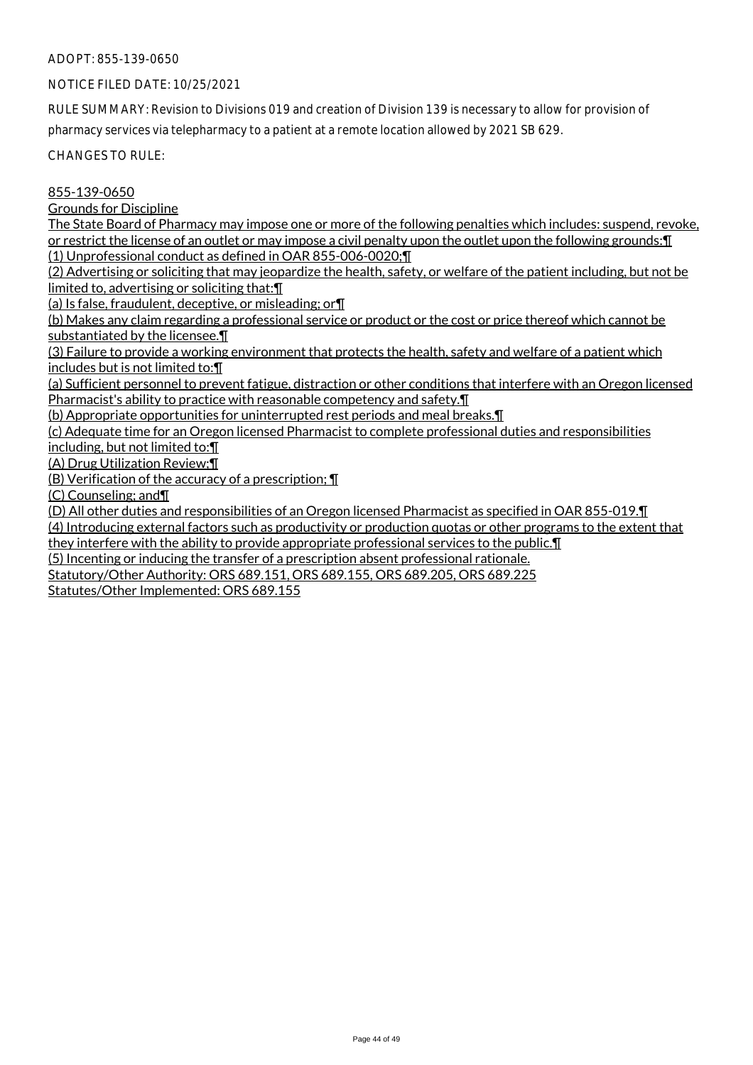# NOTICE FILED DATE: 10/25/2021

RULE SUMMARY: Revision to Divisions 019 and creation of Division 139 is necessary to allow for provision of pharmacy services via telepharmacy to a patient at a remote location allowed by 2021 SB 629.

CHANGES TO RULE:

#### 855-139-0650

#### Grounds for Discipline

The State Board of Pharmacy may impose one or more of the following penalties which includes: suspend, revoke, or restrict the license of an outlet or may impose a civil penalty upon the outlet upon the following grounds:¶ (1) Unprofessional conduct as defined in OAR 855-006-0020;¶

(2) Advertising or soliciting that may jeopardize the health, safety, or welfare of the patient including, but not be limited to, advertising or soliciting that:¶

(a) Is false, fraudulent, deceptive, or misleading; or¶

(b) Makes any claim regarding a professional service or product or the cost or price thereof which cannot be substantiated by the licensee.¶

(3) Failure to provide a working environment that protects the health, safety and welfare of a patient which includes but is not limited to:¶

(a) Sufficient personnel to prevent fatigue, distraction or other conditions that interfere with an Oregon licensed Pharmacist's ability to practice with reasonable competency and safety.¶

(b) Appropriate opportunities for uninterrupted rest periods and meal breaks.¶

(c) Adequate time for an Oregon licensed Pharmacist to complete professional duties and responsibilities including, but not limited to:¶

(A) Drug Utilization Review;¶

(B) Verification of the accuracy of a prescription; ¶

(C) Counseling; and¶

(D) All other duties and responsibilities of an Oregon licensed Pharmacist as specified in OAR 855-019.¶

(4) Introducing external factors such as productivity or production quotas or other programs to the extent that they interfere with the ability to provide appropriate professional services to the public.¶

(5) Incenting or inducing the transfer of a prescription absent professional rationale.

Statutory/Other Authority: ORS 689.151, ORS 689.155, ORS 689.205, ORS 689.225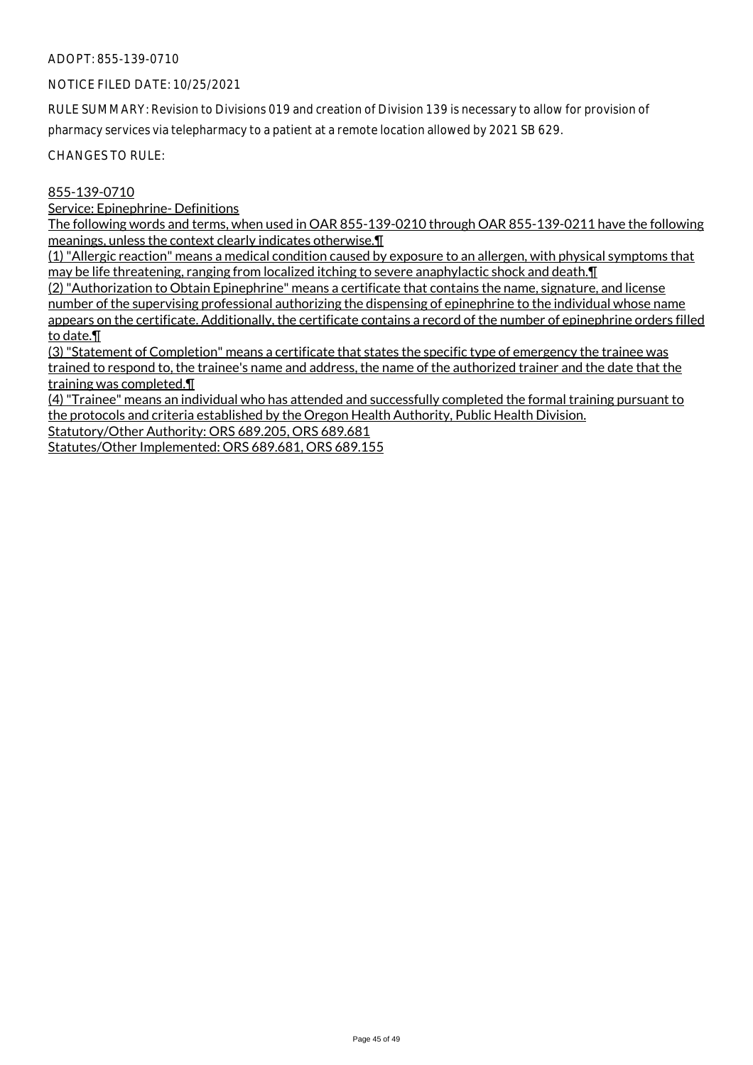# NOTICE FILED DATE: 10/25/2021

RULE SUMMARY: Revision to Divisions 019 and creation of Division 139 is necessary to allow for provision of pharmacy services via telepharmacy to a patient at a remote location allowed by 2021 SB 629.

CHANGES TO RULE:

# 855-139-0710

Service: Epinephrine- Definitions

The following words and terms, when used in OAR 855-139-0210 through OAR 855-139-0211 have the following meanings, unless the context clearly indicates otherwise.¶

(1) "Allergic reaction" means a medical condition caused by exposure to an allergen, with physical symptoms that may be life threatening, ranging from localized itching to severe anaphylactic shock and death.¶

(2) "Authorization to Obtain Epinephrine" means a certificate that contains the name, signature, and license number of the supervising professional authorizing the dispensing of epinephrine to the individual whose name appears on the certificate. Additionally, the certificate contains a record of the number of epinephrine orders filled to date.¶

(3) "Statement of Completion" means a certificate that states the specific type of emergency the trainee was trained to respond to, the trainee's name and address, the name of the authorized trainer and the date that the training was completed.¶

(4) "Trainee" means an individual who has attended and successfully completed the formal training pursuant to the protocols and criteria established by the Oregon Health Authority, Public Health Division.

Statutory/Other Authority: ORS 689.205, ORS 689.681

Statutes/Other Implemented: ORS 689.681, ORS 689.155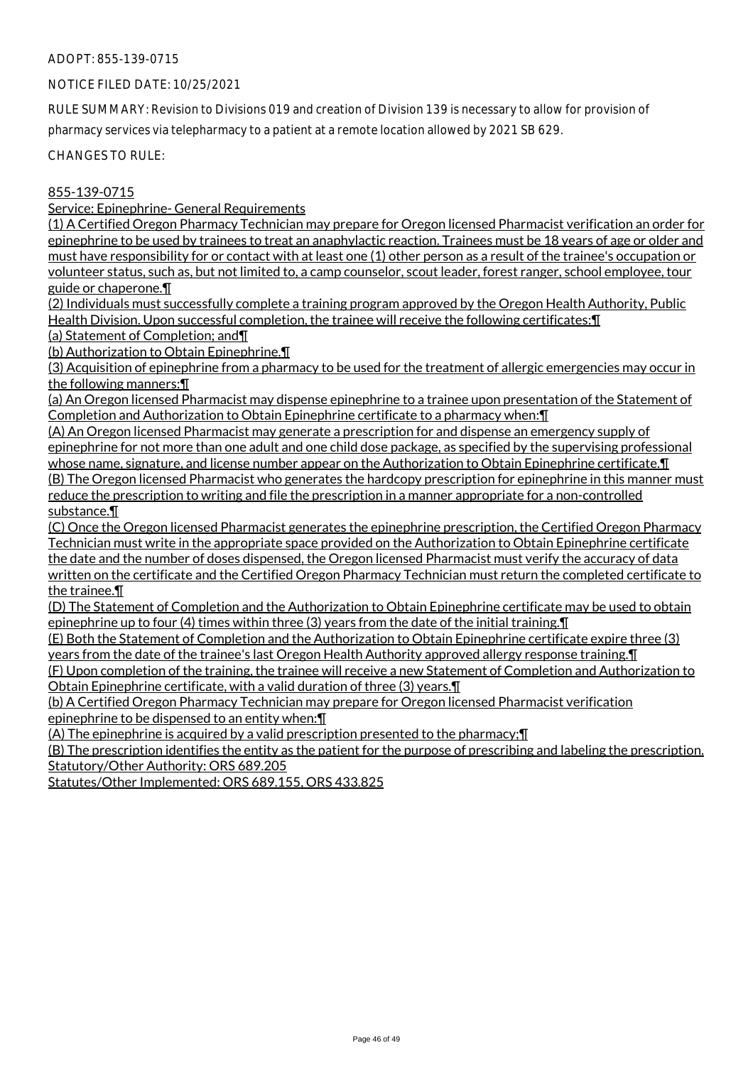# NOTICE FILED DATE: 10/25/2021

RULE SUMMARY: Revision to Divisions 019 and creation of Division 139 is necessary to allow for provision of pharmacy services via telepharmacy to a patient at a remote location allowed by 2021 SB 629.

CHANGES TO RULE:

# 855-139-0715

Service: Epinephrine- General Requirements

(1) A Certified Oregon Pharmacy Technician may prepare for Oregon licensed Pharmacist verification an order for epinephrine to be used by trainees to treat an anaphylactic reaction. Trainees must be 18 years of age or older and must have responsibility for or contact with at least one (1) other person as a result of the trainee's occupation or volunteer status, such as, but not limited to, a camp counselor, scout leader, forest ranger, school employee, tour guide or chaperone.¶

(2) Individuals must successfully complete a training program approved by the Oregon Health Authority, Public Health Division. Upon successful completion, the trainee will receive the following certificates:¶

(a) Statement of Completion; and¶

(b) Authorization to Obtain Epinephrine.¶

(3) Acquisition of epinephrine from a pharmacy to be used for the treatment of allergic emergencies may occur in the following manners:¶

(a) An Oregon licensed Pharmacist may dispense epinephrine to a trainee upon presentation of the Statement of Completion and Authorization to Obtain Epinephrine certificate to a pharmacy when:¶

(A) An Oregon licensed Pharmacist may generate a prescription for and dispense an emergency supply of epinephrine for not more than one adult and one child dose package, as specified by the supervising professional whose name, signature, and license number appear on the Authorization to Obtain Epinephrine certificate.¶ (B) The Oregon licensed Pharmacist who generates the hardcopy prescription for epinephrine in this manner must reduce the prescription to writing and file the prescription in a manner appropriate for a non-controlled substance.¶

(C) Once the Oregon licensed Pharmacist generates the epinephrine prescription, the Certified Oregon Pharmacy Technician must write in the appropriate space provided on the Authorization to Obtain Epinephrine certificate the date and the number of doses dispensed, the Oregon licensed Pharmacist must verify the accuracy of data written on the certificate and the Certified Oregon Pharmacy Technician must return the completed certificate to the trainee.¶

(D) The Statement of Completion and the Authorization to Obtain Epinephrine certificate may be used to obtain epinephrine up to four (4) times within three (3) years from the date of the initial training.¶

(E) Both the Statement of Completion and the Authorization to Obtain Epinephrine certificate expire three (3) years from the date of the trainee's last Oregon Health Authority approved allergy response training.¶

(F) Upon completion of the training, the trainee will receive a new Statement of Completion and Authorization to Obtain Epinephrine certificate, with a valid duration of three (3) years.¶

(b) A Certified Oregon Pharmacy Technician may prepare for Oregon licensed Pharmacist verification epinephrine to be dispensed to an entity when:¶

(A) The epinephrine is acquired by a valid prescription presented to the pharmacy;¶

(B) The prescription identifies the entity as the patient for the purpose of prescribing and labeling the prescription. Statutory/Other Authority: ORS 689.205

Statutes/Other Implemented: ORS 689.155, ORS 433.825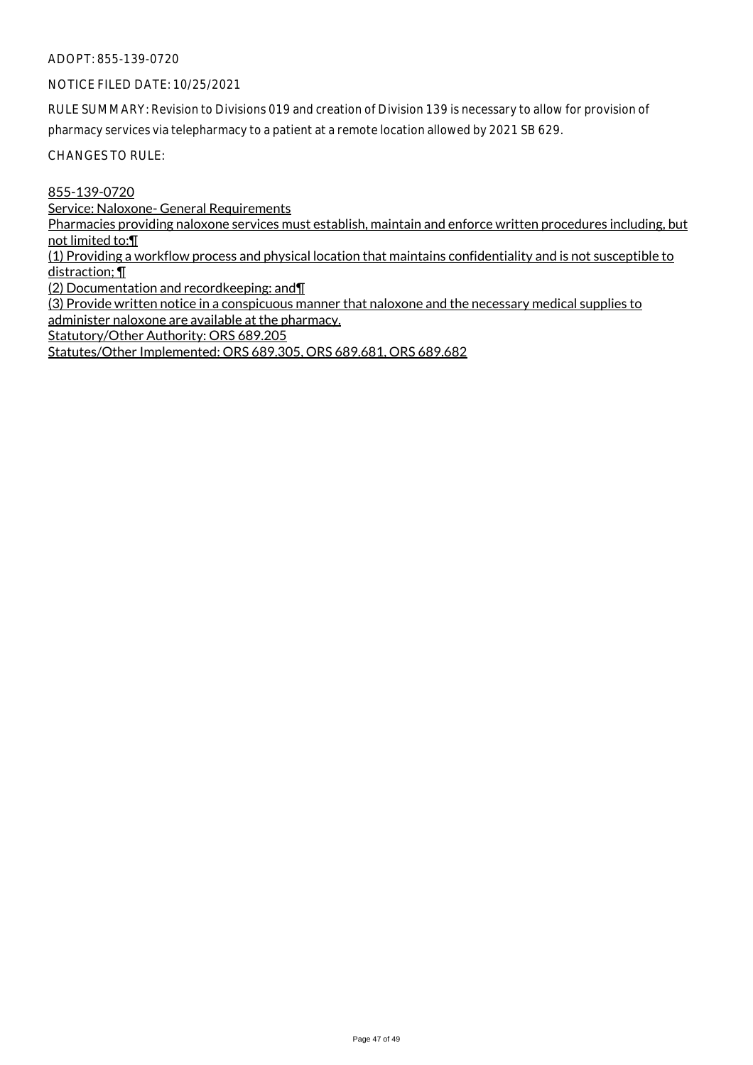# NOTICE FILED DATE: 10/25/2021

RULE SUMMARY: Revision to Divisions 019 and creation of Division 139 is necessary to allow for provision of pharmacy services via telepharmacy to a patient at a remote location allowed by 2021 SB 629.

CHANGES TO RULE:

855-139-0720

Service: Naloxone- General Requirements

Pharmacies providing naloxone services must establish, maintain and enforce written procedures including, but not limited to:¶

(1) Providing a workflow process and physical location that maintains confidentiality and is not susceptible to distraction; ¶

(2) Documentation and recordkeeping: and¶

(3) Provide written notice in a conspicuous manner that naloxone and the necessary medical supplies to administer naloxone are available at the pharmacy.

Statutory/Other Authority: ORS 689.205

Statutes/Other Implemented: ORS 689.305, ORS 689.681, ORS 689.682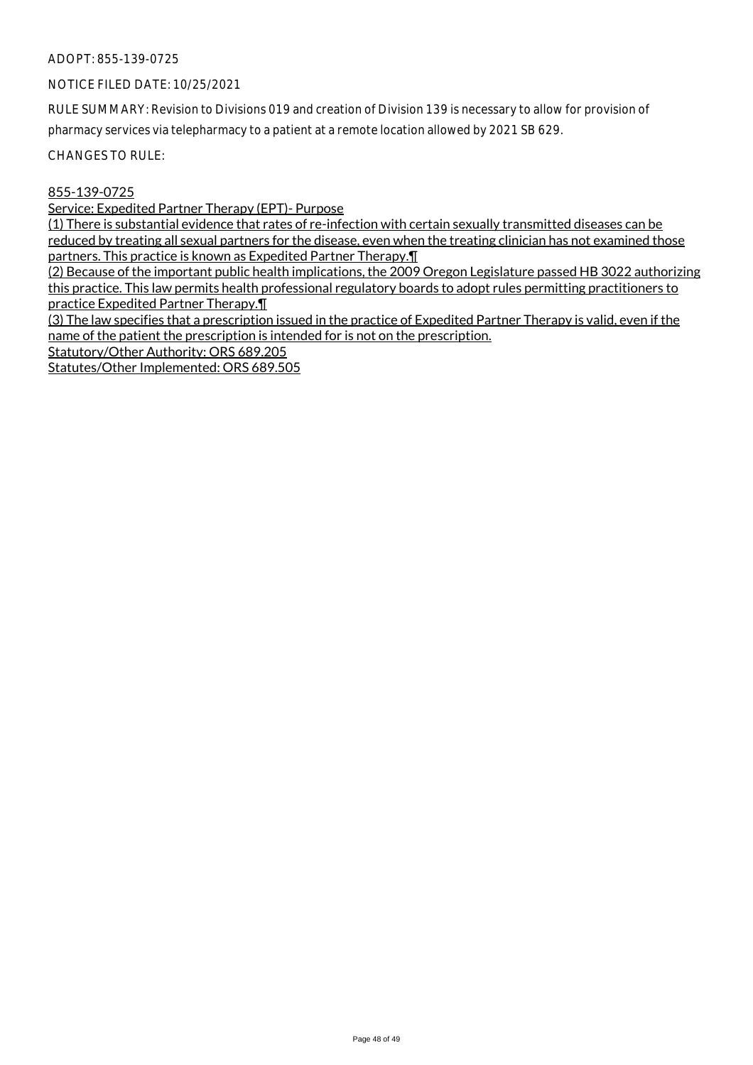# NOTICE FILED DATE: 10/25/2021

RULE SUMMARY: Revision to Divisions 019 and creation of Division 139 is necessary to allow for provision of pharmacy services via telepharmacy to a patient at a remote location allowed by 2021 SB 629.

CHANGES TO RULE:

# 855-139-0725

Service: Expedited Partner Therapy (EPT)- Purpose

(1) There is substantial evidence that rates of re-infection with certain sexually transmitted diseases can be reduced by treating all sexual partners for the disease, even when the treating clinician has not examined those partners. This practice is known as Expedited Partner Therapy.¶

(2) Because of the important public health implications, the 2009 Oregon Legislature passed HB 3022 authorizing this practice. This law permits health professional regulatory boards to adopt rules permitting practitioners to practice Expedited Partner Therapy.¶

(3) The law specifies that a prescription issued in the practice of Expedited Partner Therapy is valid, even if the name of the patient the prescription is intended for is not on the prescription.

Statutory/Other Authority: ORS 689.205